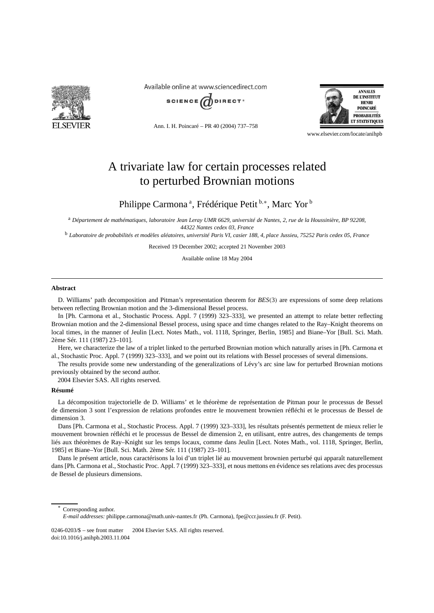

Available online at www.sciencedirect.com



Ann. I. H. Poincaré – PR 40 (2004) 737–758



www.elsevier.com/locate/anihpb

# A trivariate law for certain processes related to perturbed Brownian motions

Philippe Carmona<sup>a</sup>, Frédérique Petit <sup>b,∗</sup>, Marc Yor <sup>b</sup>

<sup>a</sup> *Département de mathématiques, laboratoire Jean Leray UMR 6629, université de Nantes, 2, rue de la Houssinière, BP 92208, 44322 Nantes cedex 03, France*

<sup>b</sup> *Laboratoire de probabilités et modèles aléatoires, université Paris VI, casier 188, 4, place Jussieu, 75252 Paris cedex 05, France*

Received 19 December 2002; accepted 21 November 2003

Available online 18 May 2004

#### **Abstract**

D. Williams' path decomposition and Pitman's representation theorem for *BES(*3*)* are expressions of some deep relations between reflecting Brownian motion and the 3-dimensional Bessel process.

In [Ph. Carmona et al., Stochastic Process. Appl. 7 (1999) 323–333], we presented an attempt to relate better reflecting Brownian motion and the 2-dimensional Bessel process, using space and time changes related to the Ray–Knight theorems on local times, in the manner of Jeulin [Lect. Notes Math., vol. 1118, Springer, Berlin, 1985] and Biane–Yor [Bull. Sci. Math. 2ème Sér. 111 (1987) 23–101].

Here, we characterize the law of a triplet linked to the perturbed Brownian motion which naturally arises in [Ph. Carmona et al., Stochastic Proc. Appl. 7 (1999) 323–333], and we point out its relations with Bessel processes of several dimensions.

The results provide some new understanding of the generalizations of Lévy's arc sine law for perturbed Brownian motions previously obtained by the second author.

2004 Elsevier SAS. All rights reserved.

#### **Résumé**

La décomposition trajectorielle de D. Williams' et le théorème de représentation de Pitman pour le processus de Bessel de dimension 3 sont l'expression de relations profondes entre le mouvement brownien réfléchi et le processus de Bessel de dimension 3.

Dans [Ph. Carmona et al., Stochastic Process. Appl. 7 (1999) 323–333], les résultats présentés permettent de mieux relier le mouvement brownien réfléchi et le processus de Bessel de dimension 2, en utilisant, entre autres, des changements de temps liés aux théorèmes de Ray–Knight sur les temps locaux, comme dans Jeulin [Lect. Notes Math., vol. 1118, Springer, Berlin, 1985] et Biane–Yor [Bull. Sci. Math. 2ème Sér. 111 (1987) 23–101].

Dans le présent article, nous caractérisons la loi d'un triplet lié au mouvement brownien perturbé qui apparaît naturellement dans [Ph. Carmona et al., Stochastic Proc. Appl. 7 (1999) 323–333], et nous mettons en évidence ses relations avec des processus de Bessel de plusieurs dimensions.

Corresponding author.

*E-mail addresses:* philippe.carmona@math.univ-nantes.fr (Ph. Carmona), fpe@ccr.jussieu.fr (F. Petit).

 $0246-0203/\$$  – see front matter  $\odot$  2004 Elsevier SAS. All rights reserved. doi:10.1016/j.anihpb.2003.11.004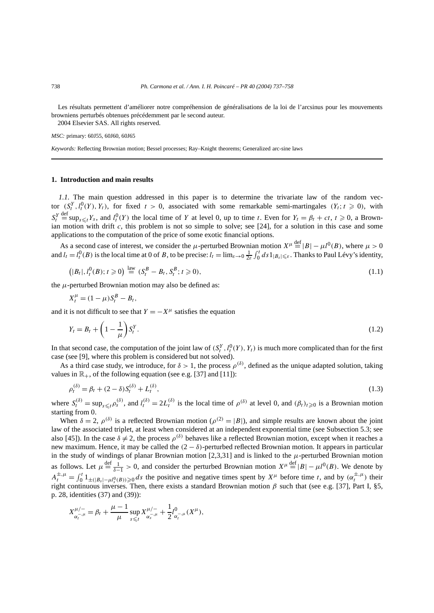Les résultats permettent d'améliorer notre compréhension de généralisations de la loi de l'arcsinus pour les mouvements browniens perturbés obtenues précédemment par le second auteur.

2004 Elsevier SAS. All rights reserved.

*MSC:* primary: 60J55, 60J60, 60J65

*Keywords:* Reflecting Brownian motion; Bessel processes; Ray–Knight theorems; Generalized arc-sine laws

#### **1. Introduction and main results**

*1.1.* The main question addressed in this paper is to determine the trivariate law of the random vector  $(S_t^Y, l_t^0(Y), Y_t)$ , for fixed  $t > 0$ , associated with some remarkable semi-martingales  $(Y_t; t \ge 0)$ , with *SY t*  $\frac{d}{dt} \sup_{s \le t} Y_s$ , and  $l_t^0(Y)$  the local time of *Y* at level 0, up to time *t*. Even for  $Y_t = \beta_t + ct$ ,  $t \ge 0$ , a Brownian motion with drift *c*, this problem is not so simple to solve; see [24], for a solution in this case and some applications to the computation of the price of some exotic financial options.

As a second case of interest, we consider the *µ*-perturbed Brownian motion  $X^{\mu} \stackrel{\text{def}}{=} |B| - \mu l^0(B)$ , where  $\mu > 0$ and  $l_t = l_t^0(B)$  is the local time at 0 of *B*, to be precise:  $l_t = \lim_{\varepsilon \to 0} \frac{1}{2\varepsilon} \int_0^t ds 1_{|B_s| \le \varepsilon}$ . Thanks to Paul Lévy's identity,

$$
(|B_t|, l_t^0(B); t \geq 0) \stackrel{\text{law}}{=} (S_t^B - B_t, S_t^B; t \geq 0), \tag{1.1}
$$

the  $\mu$ -perturbed Brownian motion may also be defined as:

$$
X_t^{\mu} = (1 - \mu)S_t^B - B_t,
$$

and it is not difficult to see that  $Y = -X^{\mu}$  satisfies the equation

$$
Y_t = B_t + \left(1 - \frac{1}{\mu}\right) S_t^Y. \tag{1.2}
$$

In that second case, the computation of the joint law of  $(S_t^Y, l_t^0(Y), Y_t)$  is much more complicated than for the first case (see [9], where this problem is considered but not solved).

As a third case study, we introduce, for  $\delta > 1$ , the process  $\rho^{(\delta)}$ , defined as the unique adapted solution, taking values in  $\mathbb{R}_+$ , of the following equation (see e.g. [37] and [11]):

$$
\rho_t^{(\delta)} = \beta_t + (2 - \delta)S_t^{(\delta)} + L_t^{(\delta)},\tag{1.3}
$$

where  $S_t^{(\delta)} = \sup_{s \le t} \rho_s^{(\delta)}$ , and  $l_t^{(\delta)} = 2L_t^{(\delta)}$  is the local time of  $\rho^{(\delta)}$  at level 0, and  $(\beta_t)_{t \ge 0}$  is a Brownian motion starting from 0.

When  $\delta = 2$ ,  $\rho^{(\delta)}$  is a reflected Brownian motion ( $\rho^{(2)} = |B|$ ), and simple results are known about the joint law of the associated triplet, at least when considered at an independent exponential time (see Subsection 5.3; see also [45]). In the case  $\delta \neq 2$ , the process  $\rho^{(\delta)}$  behaves like a reflected Brownian motion, except when it reaches a new maximum. Hence, it may be called the *(*2 − *δ)*-perturbed reflected Brownian motion. It appears in particular in the study of windings of planar Brownian motion  $[2,3,31]$  and is linked to the  $\mu$ -perturbed Brownian motion as follows. Let  $\mu \stackrel{\text{def}}{=} \frac{1}{\delta - 1} > 0$ , and consider the perturbed Brownian motion  $X^{\mu} \stackrel{\text{def}}{=} |B| - \mu l^0(B)$ . We denote by  $A_t^{\pm,\mu} = \int_0^t 1_{\pm(|B_s|-\mu_s^0(B))\geq 0} ds$  the positive and negative times spent by  $X^\mu$  before time t, and by  $(\alpha_t^{\pm,\mu})$  their right continuous inverses. Then, there exists a standard Brownian motion *β* such that (see e.g. [37], Part I, §5, p. 28, identities (37) and (39)):

$$
X_{\alpha_i^{-,\mu}}^{\mu/-} = \beta_t + \frac{\mu - 1}{\mu} \sup_{s \leq t} X_{\alpha_s^{-,\mu}}^{\mu/-} + \frac{1}{2} l_{\alpha_i^{-,\mu}}^0(X^{\mu}),
$$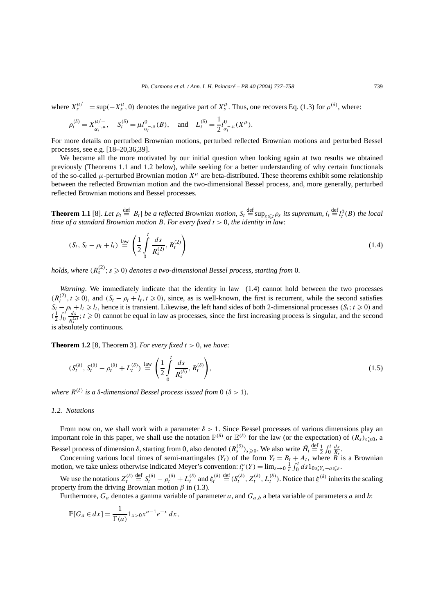where  $X_s^{\mu/-} = \sup(-X_s^{\mu}, 0)$  denotes the negative part of  $X_s^{\mu}$ . Thus, one recovers Eq. (1.3) for  $\rho^{(\delta)}$ , where:

$$
\rho_t^{(\delta)} = X_{\alpha_t^{-,\mu}}^{\mu/-}, \quad S_t^{(\delta)} = \mu I_{\alpha_t^{-,\mu}}^0(B), \quad \text{and} \quad L_t^{(\delta)} = \frac{1}{2} I_{\alpha_t^{-,\mu}}^0(X^{\mu}).
$$

For more details on perturbed Brownian motions, perturbed reflected Brownian motions and perturbed Bessel processes, see e.g. [18–20,36,39].

We became all the more motivated by our initial question when looking again at two results we obtained previously (Theorems 1.1 and 1.2 below), while seeking for a better understanding of why certain functionals of the so-called  $\mu$ -perturbed Brownian motion  $X^{\mu}$  are beta-distributed. These theorems exhibit some relationship between the reflected Brownian motion and the two-dimensional Bessel process, and, more generally, perturbed reflected Brownian motions and Bessel processes.

**Theorem 1.1** [8]. Let  $\rho_t \stackrel{\text{def}}{=} |B_t|$  be a reflected Brownian motion,  $S_t \stackrel{\text{def}}{=} \sup_{s \le t} \rho_s$  its supremum,  $l_t \stackrel{\text{def}}{=} l_t^0(B)$  the local *time of a standard Brownian motion B. For every fixed t >* 0*, the identity in law*:

$$
(S_t, S_t - \rho_t + l_t) \stackrel{\text{law}}{=} \left( \frac{1}{2} \int_0^t \frac{ds}{R_s^{(2)}}, R_t^{(2)} \right)
$$
 (1.4)

*holds, where*  $(R_s^{(2)}; s \geq 0)$  *denotes a two-dimensional Bessel process, starting from* 0*.* 

*Warning*. We immediately indicate that the identity in law (1.4) cannot hold between the two processes  $(R_t^{(2)}, t \ge 0)$ , and  $(S_t - \rho_t + l_t, t \ge 0)$ , since, as is well-known, the first is recurrent, while the second satisfies  $S_t - \rho_t + l_t \ge l_t$ , hence it is transient. Likewise, the left hand sides of both 2-dimensional processes  $(S_t; t \ge 0)$  and  $(\frac{1}{2} \int_0^t \frac{ds}{R_s^{(2)}}; t \ge 0)$  cannot be equal in law as processes, since the first increasing process is singular, and the second is absolutely continuous.

**Theorem 1.2** [8, Theorem 3]. *For every fixed*  $t > 0$ *, we have:* 

$$
(S_t^{(\delta)}, S_t^{(\delta)} - \rho_t^{(\delta)} + L_t^{(\delta)}) \stackrel{\text{law}}{=} \left(\frac{1}{2} \int_0^t \frac{ds}{R_s^{(\delta)}}, R_t^{(\delta)}\right),\tag{1.5}
$$

*where*  $R^{(\delta)}$  *is a*  $\delta$ *-dimensional Bessel process issued from* 0  $(\delta > 1)$ *.* 

#### *1.2. Notations*

From now on, we shall work with a parameter *δ >* 1. Since Bessel processes of various dimensions play an important role in this paper, we shall use the notation  $\mathbb{P}^{(\delta)}$  or  $\mathbb{E}^{(\delta)}$  for the law (or the expectation) of  $(R_s)_{s\geqslant0}$ , a

Bessel process of dimension  $\delta$ , starting from 0, also denoted  $(R_s^{(\delta)})_{s\geq 0}$ . We also write  $\tilde{H}_t \stackrel{\text{def}}{=} \frac{1}{2} \int_0^t \frac{ds}{R_s}$ . Concerning various local times of semi-martingales  $(Y_t)$  of the form  $Y_t = B_t + A_t$ , where *B* is a Brownian motion, we take unless otherwise indicated Meyer's convention:  $l_i^a(Y) = \lim_{\varepsilon \to 0} \frac{1}{\varepsilon} \int_0^t ds 1_{0 \le Y_s - a \le \varepsilon}$ .

We use the notations  $Z_t^{(\delta)}$  $\frac{d}{dt} S_t^{(\delta)} - \rho_t^{(\delta)} + L_t^{(\delta)}$  and  $\xi_t^{(\delta)}$  $\stackrel{\text{def}}{=} (S_t^{(\delta)}, Z_t^{(\delta)}, L_t^{(\delta)})$ . Notice that  $\xi^{(\delta)}$  inherits the scaling property from the driving Brownian motion  $\beta$  in (1.3).

Furthermore,  $G_a$  denotes a gamma variable of parameter  $a$ , and  $G_{a,b}$  a beta variable of parameters  $a$  and  $b$ :

$$
\mathbb{P}[G_a \in dx] = \frac{1}{\Gamma(a)} 1_{x>0} x^{a-1} e^{-x} dx,
$$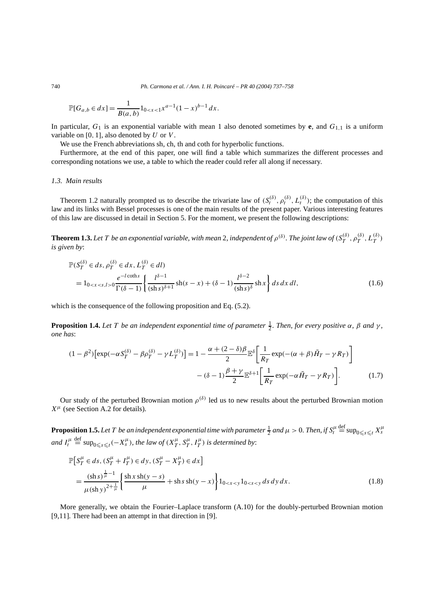740 *Ph. Carmona et al. / Ann. I. H. Poincaré – PR 40 (2004) 737–758*

$$
\mathbb{P}[G_{a,b} \in dx] = \frac{1}{B(a,b)} 1_{0 < x < 1} x^{a-1} (1-x)^{b-1} \, dx.
$$

In particular,  $G_1$  is an exponential variable with mean 1 also denoted sometimes by **e**, and  $G_{1,1}$  is a uniform variable on [0*,* 1], also denoted by *U* or *V* .

We use the French abbreviations sh, ch, th and coth for hyperbolic functions.

Furthermore, at the end of this paper, one will find a table which summarizes the different processes and corresponding notations we use, a table to which the reader could refer all along if necessary.

## *1.3. Main results*

Theorem 1.2 naturally prompted us to describe the trivariate law of  $(S_t^{(\delta)}, \rho_t^{(\delta)}, L_t^{(\delta)})$ ; the computation of this law and its links with Bessel processes is one of the main results of the present paper. Various interesting features of this law are discussed in detail in Section 5. For the moment, we present the following descriptions:

**Theorem 1.3.** Let T be an exponential variable, with mean 2, independent of  $\rho^{(\delta)}$ . The joint law of  $(S_T^{(\delta)},\rho_T^{(\delta)},L_T^{(\delta)})$ *is given by*:

$$
\mathbb{P}(S_T^{(\delta)} \in ds, \rho_T^{(\delta)} \in dx, L_T^{(\delta)} \in dl)
$$
  
=  $1_{0 < x < s, l > 0} \frac{e^{-l \coth s}}{\Gamma(\delta - 1)} \left\{ \frac{l^{\delta - 1}}{(\sh s)^{\delta + 1}} \operatorname{sh}(s - x) + (\delta - 1) \frac{l^{\delta - 2}}{(\sh s)^{\delta}} \operatorname{sh} x \right\} ds \, dx \, dl,$  (1.6)

which is the consequence of the following proposition and Eq.  $(5.2)$ .

**Proposition 1.4.** Let T be an independent exponential time of parameter  $\frac{1}{2}$ . Then, for every positive  $\alpha$ ,  $\beta$  and  $\gamma$ , *one has*:

$$
(1 - \beta^2) \left[ \exp(-\alpha S_T^{(\delta)} - \beta \rho_T^{(\delta)} - \gamma L_T^{(\delta)}) \right] = 1 - \frac{\alpha + (2 - \delta)\beta}{2} \mathbb{E}^{\delta} \left[ \frac{1}{R_T} \exp(-(\alpha + \beta) \tilde{H}_T - \gamma R_T) \right]
$$

$$
- (\delta - 1) \frac{\beta + \gamma}{2} \mathbb{E}^{\delta + 1} \left[ \frac{1}{R_T} \exp(-\alpha \tilde{H}_T - \gamma R_T) \right]. \tag{1.7}
$$

Our study of the perturbed Brownian motion  $\rho^{(\delta)}$  led us to new results about the perturbed Brownian motion  $X^{\mu}$  (see Section A.2 for details).

**Proposition 1.5.** Let  $T$  be an independent exponential time with parameter  $\frac{1}{2}$  and  $\mu > 0$ . Then, if  $S_t^\mu$  $\stackrel{\text{def}}{=} \sup_{0 \leq s \leq t} X_s^{\mu}$ and  $I_t^{\mu}$  $\stackrel{\text{def}}{=} \sup_{0 \leq s \leq t} (-X_s^{\mu}),$  the law of  $(X_T^{\mu}, S_T^{\mu}, I_T^{\mu})$  is determined by:

$$
\mathbb{P}\Big[S_T^{\mu} \in ds, (S_T^{\mu} + I_T^{\mu}) \in dy, (S_T^{\mu} - X_T^{\mu}) \in dx\Big]
$$
  
= 
$$
\frac{(\text{sh } s)^{\frac{1}{\mu}-1}}{\mu(\text{sh } y)^{2+\frac{1}{\mu}}}\Big\{\frac{\text{sh } x \text{ sh}(y-s)}{\mu} + \text{sh } s \text{ sh}(y-x)\Big\}\Big\}\Big]0 < x < y \text{ } 10 < s < y \text{ } ds\,dy\,dx. \tag{1.8}
$$

More generally, we obtain the Fourier–Laplace transform (A.10) for the doubly-perturbed Brownian motion [9,11]. There had been an attempt in that direction in [9].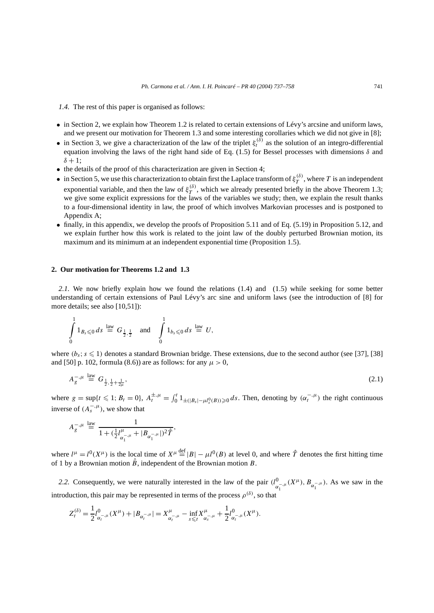*1.4.* The rest of this paper is organised as follows:

- in Section 2, we explain how Theorem 1.2 is related to certain extensions of Lévy's arcsine and uniform laws, and we present our motivation for Theorem 1.3 and some interesting corollaries which we did not give in [8];
- in Section 3, we give a characterization of the law of the triplet  $\xi_t^{(\delta)}$  as the solution of an integro-differential equation involving the laws of the right hand side of Eq. (1.5) for Bessel processes with dimensions *δ* and  $\delta + 1$ ;
- the details of the proof of this characterization are given in Section 4;
- in Section 5, we use this characterization to obtain first the Laplace transform of  $\xi_I^{(\delta)}$ , where T is an independent exponential variable, and then the law of  $\xi_T^{(\delta)}$ , which we already presented briefly in the above Theorem 1.3; we give some explicit expressions for the laws of the variables we study; then, we explain the result thanks to a four-dimensional identity in law, the proof of which involves Markovian processes and is postponed to Appendix A;
- finally, in this appendix, we develop the proofs of Proposition 5.11 and of Eq. (5.19) in Proposition 5.12, and we explain further how this work is related to the joint law of the doubly perturbed Brownian motion, its maximum and its minimum at an independent exponential time (Proposition 1.5).

## **2. Our motivation for Theorems 1.2 and 1.3**

*2.1.* We now briefly explain how we found the relations (1.4) and (1.5) while seeking for some better understanding of certain extensions of Paul Lévy's arc sine and uniform laws (see the introduction of [8] for more details; see also [10,51]):

$$
\int_{0}^{1} 1_{B_s \leq 0} ds \stackrel{\text{law}}{=} G_{\frac{1}{2},\frac{1}{2}} \text{ and } \int_{0}^{1} 1_{b_s \leq 0} ds \stackrel{\text{law}}{=} U,
$$

where  $(b_s; s \leq 1)$  denotes a standard Brownian bridge. These extensions, due to the second author (see [37], [38] and [50] p. 102, formula (8.6)) are as follows: for any  $\mu > 0$ ,

$$
A_g^{-,\mu} \stackrel{\text{law}}{=} G_{\frac{1}{2},\frac{1}{2}+\frac{1}{2\mu}},\tag{2.1}
$$

where  $g = \sup\{t \le 1; B_t = 0\}$ ,  $A_t^{\pm,\mu} = \int_0^t 1_{\pm(|B_s| - \mu I_s^0(B)) \ge 0} ds$ . Then, denoting by  $(\alpha_t^{-,\mu})$  the right continuous inverse of  $(A_s^{-}, \mu)$ , we show that

$$
A_g^{-,\mu} \stackrel{\text{law}}{=} \frac{1}{1 + (\frac{1}{2}l_{\alpha_1^{-,\mu}}^{\mu} + |B_{\alpha_1^{-,\mu}}|)^2 \hat{T}},
$$

where  $l^{\mu} = l^{0}(X^{\mu})$  is the local time of  $X^{\mu} \stackrel{\text{def}}{=} |B| - \mu l^{0}(B)$  at level 0, and where  $\hat{T}$  denotes the first hitting time of 1 by a Brownian motion  $\hat{B}$ , independent of the Brownian motion  $B$ .

2.2. Consequently, we were naturally interested in the law of the pair  $(l^0_{\alpha_1^{-},\mu}(X^{\mu}), B_{\alpha_1^{-},\mu})$ . As we saw in the introduction, this pair may be represented in terms of the process  $\rho^{(\delta)}$ , so that

$$
Z_t^{(\delta)} = \frac{1}{2} l^0_{\alpha_t^{-,\mu}}(X^\mu) + |B_{\alpha_t^{-,\mu}}| = X^\mu_{\alpha_t^{-,\mu}} - \inf_{s \leq t} X^\mu_{\alpha_s^{-,\mu}} + \frac{1}{2} l^0_{\alpha_t^{-,\mu}}(X^\mu).
$$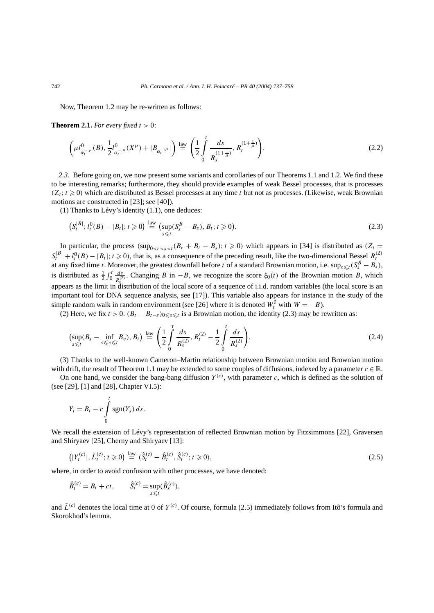Now, Theorem 1.2 may be re-written as follows:

**Theorem 2.1.** *For every fixed*  $t > 0$ :

$$
\left(\mu l_{\alpha_{t}}^{0}(\beta),\frac{1}{2}l_{\alpha_{t}}^{0}(\beta)+|B_{\alpha_{t}}^{0}(\beta)|\right)\stackrel{\text{law}}{=} \left(\frac{1}{2}\int_{0}^{t} \frac{ds}{R_{s}^{(1+\frac{1}{\mu})}},R_{t}^{(1+\frac{1}{\mu})}\right).
$$
\n(2.2)

*2.3.* Before going on, we now present some variants and corollaries of our Theorems 1.1 and 1.2. We find these to be interesting remarks; furthermore, they should provide examples of weak Bessel processes, that is processes  $(Z_t; t \geq 0)$  which are distributed as Bessel processes at any time *t* but not as processes. (Likewise, weak Brownian motions are constructed in [23]; see [40]).

(1) Thanks to Lévy's identity (1.1), one deduces:

$$
(S_t^{|B|}; l_t^0(B) - |B_t|; t \ge 0) \stackrel{\text{law}}{=} (\sup_{s \le t} (S_s^B - B_s), B_t; t \ge 0).
$$
 (2.3)

In particular, the process  $(\sup_{0 \le r \le s \le t} (B_r + B_t - B_s); t \ge 0)$  which appears in [34] is distributed as  $(Z_t =$  $S_t^{|B|} + l_t^0(B) - |B_t|$ ;  $t \ge 0$ ), that is, as a consequence of the preceding result, like the two-dimensional Bessel  $R_t^{(2)}$ at any fixed time *t*. Moreover, the greatest downfall before *t* of a standard Brownian motion, i.e.  $\sup_{s \le t} (S_s^B - B_s)$ , is distributed as  $\frac{1}{2} \int_0^t \frac{ds}{R_s^{(2)}}$ . Changing *B* in −*B*, we recognize the score  $\xi_0(t)$  of the Brownian motion *B*, which appears as the limit in distribution of the local score of a sequence of i.i.d. random variables (the local score is an important tool for DNA sequence analysis, see [17]). This variable also appears for instance in the study of the simple random walk in random environment (see [26] where it is denoted  $W_t^{\sharp}$  with  $W = -B$ ).

(2) Here, we fix  $t > 0$ .  $(B_t - B_{t-s})_{0 \le s \le t}$  is a Brownian motion, the identity (2.3) may be rewritten as:

$$
\left(\sup_{s\leq t} (B_s - \inf_{s\leq v\leq t} B_v), B_t\right) \stackrel{\text{law}}{=} \left(\frac{1}{2} \int_0^t \frac{ds}{R_s^{(2)}}, R_t^{(2)} - \frac{1}{2} \int_0^t \frac{ds}{R_s^{(2)}}\right). \tag{2.4}
$$

(3) Thanks to the well-known Cameron–Martin relationship between Brownian motion and Brownian motion with drift, the result of Theorem 1.1 may be extended to some couples of diffusions, indexed by a parameter  $c \in \mathbb{R}$ .

On one hand, we consider the bang-bang diffusion  $Y^{(c)}$ , with parameter c, which is defined as the solution of (see [29], [1] and [28], Chapter VI.5):

$$
Y_t = B_t - c \int\limits_0^t \operatorname{sgn}(Y_s) \, ds.
$$

We recall the extension of Lévy's representation of reflected Brownian motion by Fitzsimmons [22], Graversen and Shiryaev [25], Cherny and Shiryaev [13]:

$$
\left(|Y_t^{(c)}|, \tilde{L}_t^{(c)}; t \geq 0\right) \stackrel{\text{law}}{=} (\hat{S}_t^{(c)} - \hat{B}_t^{(c)}, \hat{S}_t^{(c)}; t \geq 0),\tag{2.5}
$$

where, in order to avoid confusion with other processes, we have denoted:

$$
\hat{B}_t^{(c)} = B_t + ct, \qquad \hat{S}_t^{(c)} = \sup_{s \leq t} (\hat{B}_s^{(c)}),
$$

and  $\tilde{L}^{(c)}$  denotes the local time at 0 of  $Y^{(c)}$ . Of course, formula (2.5) immediately follows from Itô's formula and Skorokhod's lemma.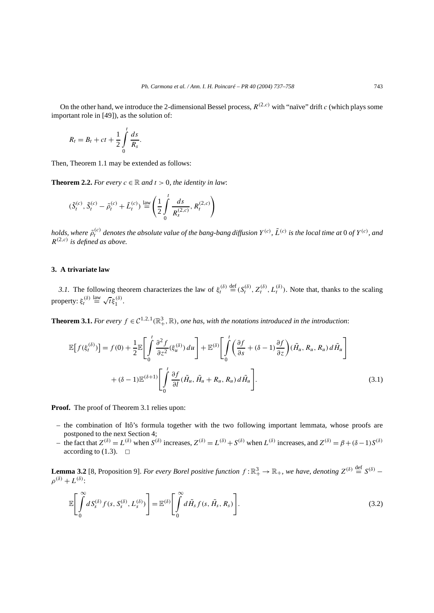On the other hand, we introduce the 2-dimensional Bessel process,  $R^{(2,c)}$  with "naïve" drift *c* (which plays some important role in [49]), as the solution of:

$$
R_t = B_t + ct + \frac{1}{2} \int_0^t \frac{ds}{R_s}.
$$

Then, Theorem 1.1 may be extended as follows:

**Theorem 2.2.** *For every*  $c \in \mathbb{R}$  *and*  $t > 0$ *, the identity in law*:

$$
(\tilde{S}_{t}^{(c)}, \tilde{S}_{t}^{(c)} - \tilde{\rho}_{t}^{(c)} + \tilde{L}_{t}^{(c)}) \stackrel{\text{law}}{=} \left( \frac{1}{2} \int_{0}^{t} \frac{ds}{R_{s}^{(2,c)}}, R_{t}^{(2,c)} \right)
$$

holds, where  $\tilde{\rho}_t^{(c)}$  denotes the absolute value of the bang-bang diffusion  $Y^{(c)},$   $\tilde{L}^{(c)}$  is the local time at  $0$  of  $Y^{(c)},$  and  $R^{(2,c)}$  *is defined as above.* 

## **3. A trivariate law**

*3.1.* The following theorem characterizes the law of  $\xi_t^{(\delta)}$  $\stackrel{\text{def}}{=} (S_t^{(\delta)}, Z_t^{(\delta)}, L_t^{(\delta)})$ . Note that, thanks to the scaling property: *ξ(δ) t*  $\stackrel{\text{law}}{=} \sqrt{t} \xi_1^{(\delta)}$ .

**Theorem 3.1.** *For every*  $f \in C^{1,2,1}(\mathbb{R}^3_+, \mathbb{R})$ , *one has, with the notations introduced in the introduction*:

$$
\mathbb{E}\left[f(\xi_t^{(\delta)})\right] = f(0) + \frac{1}{2}\mathbb{E}\left[\int_0^t \frac{\partial^2 f}{\partial z^2}(\xi_u^{(\delta)}) du\right] + \mathbb{E}^{(\delta)}\left[\int_0^t \left(\frac{\partial f}{\partial s} + (\delta - 1)\frac{\partial f}{\partial z}\right)(\tilde{H}_u, R_u, R_u) d\tilde{H}_u\right] + (\delta - 1)\mathbb{E}^{(\delta + 1)}\left[\int_0^t \frac{\partial f}{\partial t}(\tilde{H}_u, \tilde{H}_u + R_u, R_u) d\tilde{H}_u\right].
$$
\n(3.1)

**Proof.** The proof of Theorem 3.1 relies upon:

- the combination of Itô's formula together with the two following important lemmata, whose proofs are postponed to the next Section 4;
- the fact that  $Z^{(\delta)} = L^{(\delta)}$  when  $S^{(\delta)}$  increases,  $Z^{(\delta)} = L^{(\delta)} + S^{(\delta)}$  when  $L^{(\delta)}$  increases, and  $Z^{(\delta)} = \beta + (\delta 1)S^{(\delta)}$ according to  $(1.3)$ .  $\Box$

**Lemma 3.2** [8, Proposition 9]. *For every Borel positive function*  $f : \mathbb{R}^3_+ \to \mathbb{R}_+$ *, we have, denoting*  $Z^{(\delta)} \stackrel{\text{def}}{=} S^{(\delta)} \rho^{(\delta)} + L^{(\delta)}$ :

$$
\mathbb{E}\left[\int_{0}^{\infty} dS_{s}^{(\delta)} f(s, S_{s}^{(\delta)}, L_{s}^{(\delta)})\right] = \mathbb{E}^{(\delta)}\left[\int_{0}^{\infty} d\tilde{H}_{s} f(s, \tilde{H}_{s}, R_{s})\right].
$$
\n(3.2)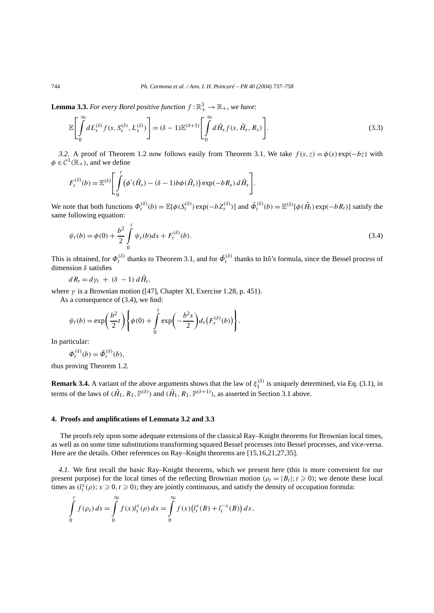**Lemma 3.3.** For every Borel positive function  $f : \mathbb{R}^3_+ \to \mathbb{R}_+$ , we have:

$$
\mathbb{E}\Bigg[\int\limits_0^\infty dL_s^{(\delta)}f(s,S_s^{(\delta)},L_s^{(\delta)})\Bigg]=(\delta-1)\mathbb{E}^{(\delta+1)}\Bigg[\int\limits_0^\infty d\tilde{H}_s f(s,\tilde{H}_s,R_s)\Bigg].\tag{3.3}
$$

*3.2.* A proof of Theorem 1.2 now follows easily from Theorem 3.1. We take  $f(s, z) = \phi(s) \exp(-bz)$  with  $\phi \in C^1(\mathbb{R}_+),$  and we define

$$
F_t^{(\delta)}(b) = \mathbb{E}^{(\delta)} \Bigg[ \int_0^t \big( \phi'(\tilde{H}_s) - (\delta - 1) b \phi(\tilde{H}_s) \big) \exp(-bR_s) d\tilde{H}_s \Bigg].
$$

We note that both functions  $\Phi_t^{(\delta)}(b) = \mathbb{E}[\phi(S_t^{(\delta)}) \exp(-bZ_t^{(\delta)})]$  and  $\tilde{\Phi}_t^{(\delta)}(b) = \mathbb{E}^{(\delta)}[\phi(\tilde{H}_t) \exp(-bR_t)]$  satisfy the same following equation:

$$
\psi_t(b) = \phi(0) + \frac{b^2}{2} \int_0^t \psi_s(b)ds + F_t^{(\delta)}(b). \tag{3.4}
$$

This is obtained, for  $\Phi_t^{(\delta)}$  thanks to Theorem 3.1, and for  $\tilde{\Phi}_t^{(\delta)}$  thanks to Itô's formula, since the Bessel process of dimension *δ* satisfies

$$
dR_t = d\gamma_t + (\delta - 1) d\tilde{H}_t,
$$

where  $\gamma$  is a Brownian motion ([47], Chapter XI, Exercise 1.28, p. 451).

As a consequence of (3.4), we find:

$$
\psi_t(b) = \exp\left(\frac{b^2}{2}t\right) \left\{\phi(0) + \int\limits_0^t \exp\left(-\frac{b^2s}{2}\right) ds\left(F_s^{(\delta)}(b)\right)\right\}.
$$

In particular:

$$
\Phi_t^{(\delta)}(b) = \tilde{\Phi}_t^{(\delta)}(b),
$$

thus proving Theorem 1.2.

**Remark 3.4.** A variant of the above arguments shows that the law of  $\xi_1^{(\delta)}$  is uniquely determined, via Eq. (3.1), in terms of the laws of  $(\tilde{H}_1, R_1, \mathbb{P}^{(\delta)})$  and  $(\tilde{H}_1, R_1, \mathbb{P}^{(\delta+1)})$ , as asserted in Section 3.1 above.

#### **4. Proofs and amplifications of Lemmata 3.2 and 3.3**

The proofs rely upon some adequate extensions of the classical Ray–Knight theorems for Brownian local times, as well as on some time substitutions transforming squared Bessel processes into Bessel processes, and vice-versa. Here are the details. Other references on Ray–Knight theorems are [15,16,21,27,35].

*4.1.* We first recall the basic Ray–Knight theorems, which we present here (this is more convenient for our present purpose) for the local times of the reflecting Brownian motion  $(\rho_t = |B_t|; t \ge 0)$ ; we denote these local times as  $(l_t^x(\rho); x \ge 0, t \ge 0)$ ; they are jointly continuous, and satisfy the density of occupation formula:

$$
\int_{0}^{t} f(\rho_{s}) ds = \int_{0}^{\infty} f(x) l_{t}^{x}(\rho) dx = \int_{0}^{\infty} f(x) (l_{t}^{x}(B) + l_{t}^{-x}(B)) dx,
$$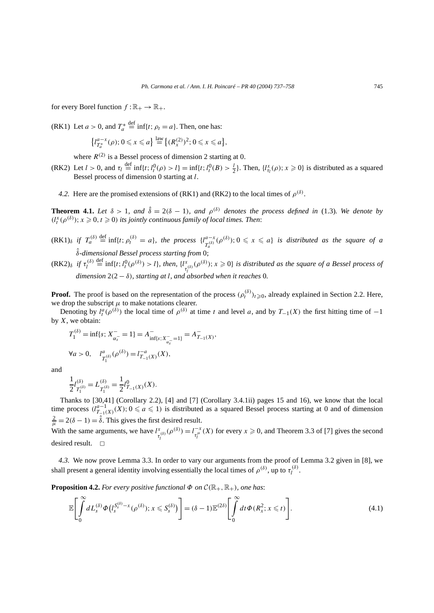for every Borel function  $f : \mathbb{R}_+ \to \mathbb{R}_+$ .

(RK1) Let  $a > 0$ , and  $T_a^*$  $\stackrel{\text{def}}{=} \inf\{t; \rho_t = a\}.$  Then, one has:

$$
\left\{l_{T_a^*}^{a-x}(\rho); 0 \leq x \leq a\right\} \stackrel{\text{law}}{=} \left\{(R_x^{(2)})^2; 0 \leq x \leq a\right\},\
$$

where  $R^{(2)}$  is a Bessel process of dimension 2 starting at 0.

- (RK2) Let  $l > 0$ , and  $\tau_l \stackrel{\text{def}}{=} \inf\{t; l_l^0(\rho) > l\} = \inf\{t; l_l^0(B) > \frac{l}{2}\}\$ . Then,  $\{l_{\tau_l}^x(\rho); x \ge 0\}$  is distributed as a squared Bessel process of dimension 0 starting at *l*.
	- *4.2.* Here are the promised extensions of (RK1) and (RK2) to the local times of  $\rho^{(\delta)}$ .

**Theorem 4.1.** Let  $\delta > 1$ , and  $\hat{\delta} = 2(\delta - 1)$ , and  $\rho^{(\delta)}$  denotes the process defined in (1.3). We denote by  $(l<sub>t</sub><sup>x</sup>(\rho<sup>(δ)</sup>)$ ;  $x \ge 0$ ,  $t \ge 0$ ) *its jointly continuous family of local times. Then*:

- $(RK1)_{\delta}$  *if*  $T_a^{(\delta)} \stackrel{\text{def}}{=} \inf\{t; \rho_t^{(\delta)} = a\}$ *, the process*  $\{l_{\tau^{(\delta)}}^{a-x}\}$  $T_a^{a-x}(\rho^{(\delta)}); 0 \leq x \leq a$ } *is distributed as the square of a δ*ˆ*-dimensional Bessel process starting from* 0;
- $(RK2)$ <sup> $\delta$ </sup> *if*  $\tau_l^{(\delta)}$  $\stackrel{\text{def}}{=} \inf\{t; l_l^0(\rho^{(\delta)}) > l\}$ , then,  $\{l_{\tau_l^{(\delta)}}^x(\rho^{(\delta)})$ ;  $x \geqslant 0\}$  is distributed as the square of a Bessel process of *l dimension* 2*(*2 − *δ), starting at l, and absorbed when it reaches* 0*.*

**Proof.** The proof is based on the representation of the process  $(\rho_t^{(\delta)})_{t \geq 0}$ , already explained in Section 2.2. Here, we drop the subscript  $\mu$  to make notations clearer.

Denoting by  $l_t^a(\rho^{(\delta)})$  the local time of  $\rho^{(\delta)}$  at time *t* and level *a*, and by  $T_{-1}(X)$  the first hitting time of −1 by *X*, we obtain:

$$
T_1^{(\delta)} = \inf\{s; X_{\alpha_s^-}^- = 1\} = A_{\inf\{s; X_{\alpha_s^-}^- = 1\}}^- = A_{T_{-1}(X)}^-,
$$
  

$$
\forall a > 0, \quad l_{T_1^{(\delta)}}^a(\rho^{(\delta)}) = l_{T_{-1}(X)}^{-a}(X),
$$

and

$$
\frac{1}{2}l_{T_1^{(\delta)}}^{(\delta)} = L_{T_1^{(\delta)}}^{(\delta)} = \frac{1}{2}l_{T_{-1}(X)}^{0}(X).
$$

Thanks to [30,41] (Corollary 2.2), [4] and [7] (Corollary 3.4.1ii) pages 15 and 16), we know that the local time process  $(l_{T_{-1}(X)}^{a-1}(X); 0 \le a \le 1)$  is distributed as a squared Bessel process starting at 0 and of dimension  $\frac{2}{\mu} = 2(\delta - 1) = \hat{\delta}$ . This gives the first desired result.

With the same arguments, we have  $l_{\tau_l^{(\delta)}}^x(\rho^{(\delta)}) = l_{\tau_l^{(\delta)}}^{-x}(X)$  for every  $x \ge 0$ , and Theorem 3.3 of [7] gives the second desired result.  $\square$ 

*4.3.* We now prove Lemma 3.3. In order to vary our arguments from the proof of Lemma 3.2 given in [8], we shall present a general identity involving essentially the local times of  $\rho^{(\delta)}$ , up to  $\tau_l^{(\delta)}$ .

**Proposition 4.2.** *For every positive functional*  $\Phi$  *on*  $C(\mathbb{R}_+,\mathbb{R}_+)$ *, one has:* 

$$
\mathbb{E}\Bigg[\int_{0}^{\infty} dL_{s}^{(\delta)}\Phi(t_{s}^{S_{s}^{(\delta)}-x}(\rho^{(\delta)});x\leqslant S_{s}^{(\delta)})\Bigg]=(\delta-1)\mathbb{E}^{(2\delta)}\Bigg[\int_{0}^{\infty} dt\Phi(R_{x}^{2};x\leqslant t)\Bigg].\tag{4.1}
$$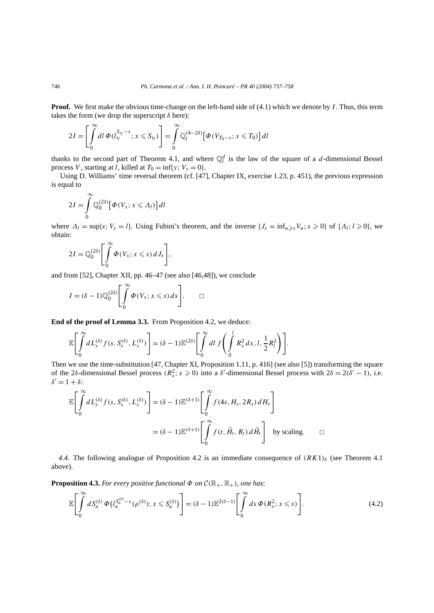**Proof.** We first make the obvious time-change on the left-hand side of (4.1) which we denote by *I*. Thus, this term takes the form (we drop the superscript  $\delta$  here):

$$
2I = \left[\int\limits_0^\infty dl \,\Phi(l_{\tau_l}^{S_{\tau_l}-x}; x \leq S_{\tau_l})\right] = \int\limits_0^\infty \mathbb{Q}_l^{(4-2\delta)}\big[\Phi(V_{T_0-x}; x \leq T_0)\big] dl
$$

thanks to the second part of Theorem 4.1, and where  $\mathbb{Q}_l^d$  is the law of the square of a *d*-dimensional Bessel process *V*, starting at *l*, killed at  $T_0 = \inf\{y; V_y = 0\}.$ 

Using D. Williams' time reversal theorem (cf. [47], Chapter IX, exercise 1.23, p. 451), the previous expression is equal to

$$
2I = \int_{0}^{\infty} \mathbb{Q}_0^{(2\delta)} \big[ \Phi(V_x; x \leq A_l) \big] dl
$$

where  $\Lambda_l = \sup\{s; V_s = l\}$ . Using Fubini's theorem, and the inverse  $\{J_s = \inf_{u \geq s} V_u; s \geq 0\}$  of  $\{\Lambda_l; l \geq 0\}$ , we obtain:

$$
2I = \mathbb{Q}_0^{(2\delta)} \Bigg[ \int\limits_0^\infty \boldsymbol{\Phi}(V_x; x \leqslant s) \, dJ_s \Bigg],
$$

and from [52], Chapter XII, pp. 46–47 (see also [46,48]), we conclude

$$
I = (\delta - 1) \mathbb{Q}_0^{(2\delta)} \left[ \int_0^\infty \Phi(V_x; x \leqslant s) \, ds \right]. \qquad \Box
$$

**End of the proof of Lemma 3.3.** From Proposition 4.2, we deduce:

$$
\mathbb{E}\Bigg[\int_0^\infty dL_s^{(\delta)}f(s,S_s^{(\delta)},L_s^{(\delta)})\Bigg]=(\delta-1)\mathbb{E}^{(2\delta)}\Bigg[\int_0^\infty dl\ f\Bigg(\int_0^l R_x^2\,dx,l,\frac{1}{2}R_l^2\Bigg)\Bigg].
$$

Then we use the time-substitution [47, Chapter XI, Proposition 1.11, p. 416] (see also [5]) transforming the square of the 2 $\delta$ -dimensional Bessel process  $(R_x^2; x \ge 0)$  into a  $\delta'$ -dimensional Bessel process with  $2\delta = 2(\delta' - 1)$ , i.e.  $\delta' = 1 + \delta$ :

$$
\mathbb{E}\Bigg[\int_{0}^{\infty} dL_{s}^{(\delta)} f(s, S_{s}^{(\delta)}, L_{s}^{(\delta)})\Bigg] = (\delta - 1)\mathbb{E}^{(\delta+1)}\Bigg[\int_{0}^{\infty} f(s, H_{s}, 2R_{s}) dH_{s}\Bigg]
$$

$$
= (\delta - 1)\mathbb{E}^{(\delta+1)}\Bigg[\int_{0}^{\infty} f(t, \tilde{H}_{t}, R_{t}) d\tilde{H}_{t}\Bigg] \text{ by scaling.} \square
$$

*4.4.* The following analogue of Proposition 4.2 is an immediate consequence of  $(RK1)$ <sup> $\delta$ </sup> (see Theorem 4.1 above).

**Proposition 4.3.** *For every positive functional*  $\Phi$  *on*  $C(\mathbb{R}_+,\mathbb{R}_+)$ *, one has:* 

$$
\mathbb{E}\Bigg[\int\limits_{0}^{\infty} dS_{u}^{(\delta)}\,\Phi\big(l_{u}^{S_{u}^{(\delta)}-x}(\rho^{(\delta)});x\leqslant S_{u}^{(\delta)}\big)\Bigg]=(\delta-1)\mathbb{E}^{2(\delta-1)}\Bigg[\int\limits_{0}^{\infty} ds\,\Phi(R_{x}^{2};x\leqslant s)\Bigg].\tag{4.2}
$$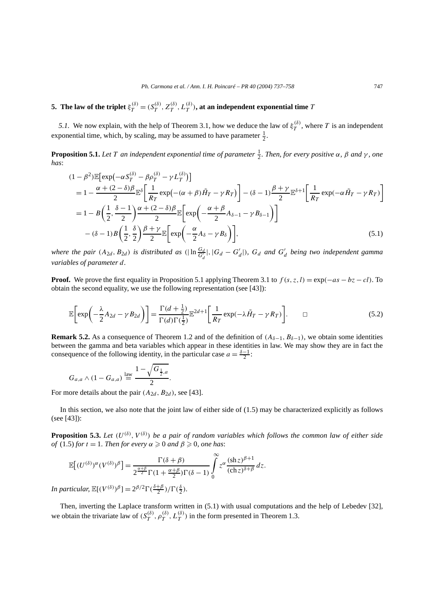## **5.** The law of the triplet  $\xi_T^{(\delta)}=(S_T^{(\delta)},Z_T^{(\delta)},L_T^{(\delta)}),$  at an independent exponential time  $T$

*5.1.* We now explain, with the help of Theorem 3.1, how we deduce the law of  $\xi_T^{(\delta)}$ , where *T* is an independent exponential time, which, by scaling, may be assumed to have parameter  $\frac{1}{2}$ .

**Proposition 5.1.** Let T an independent exponential time of parameter  $\frac{1}{2}$ . Then, for every positive  $\alpha$ ,  $\beta$  and  $\gamma$ , one *has*:

$$
(1 - \beta^2) \mathbb{E} \Big[ \exp\Big( -\alpha S_T^{(\delta)} - \beta \rho_T^{(\delta)} - \gamma L_T^{(\delta)} \Big) \Big] = 1 - \frac{\alpha + (2 - \delta)\beta}{2} \mathbb{E}^{\delta} \Big[ \frac{1}{R_T} \exp\Big( -(\alpha + \beta) \tilde{H}_T - \gamma R_T \Big) \Big] - (\delta - 1) \frac{\beta + \gamma}{2} \mathbb{E}^{\delta + 1} \Big[ \frac{1}{R_T} \exp\Big( -\alpha \tilde{H}_T - \gamma R_T \Big) \Big] = 1 - B \Big( \frac{1}{2}, \frac{\delta - 1}{2} \Big) \frac{\alpha + (2 - \delta)\beta}{2} \mathbb{E} \Big[ \exp\Big( -\frac{\alpha + \beta}{2} A_{\delta - 1} - \gamma B_{\delta - 1} \Big) \Big] - (\delta - 1) B \Big( \frac{1}{2}, \frac{\delta}{2} \Big) \frac{\beta + \gamma}{2} \mathbb{E} \Big[ \exp\Big( -\frac{\alpha}{2} A_{\delta} - \gamma B_{\delta} \Big) \Big], \tag{5.1}
$$

where the pair  $(A_{2d},B_{2d})$  is distributed as  $(\ln \frac{G_d}{G'_d}|,|G_d-G'_d|)$ ,  $G_d$  and  $G'_d$  being two independent gamma *variables of parameter d.*

**Proof.** We prove the first equality in Proposition 5.1 applying Theorem 3.1 to  $f(s, z, l) = \exp(-as - bz - cl)$ . To obtain the second equality, we use the following representation (see [43]):

$$
\mathbb{E}\bigg[\exp\bigg(-\frac{\lambda}{2}A_{2d}-\gamma B_{2d}\bigg)\bigg]=\frac{\Gamma(d+\frac{1}{2})}{\Gamma(d)\Gamma(\frac{1}{2})}\mathbb{E}^{2d+1}\bigg[\frac{1}{R_T}\exp(-\lambda\tilde{H}_T-\gamma R_T)\bigg].\qquad \Box
$$
\n(5.2)

**Remark 5.2.** As a consequence of Theorem 1.2 and of the definition of  $(A_{\delta-1}, B_{\delta-1})$ , we obtain some identities between the gamma and beta variables which appear in these identities in law. We may show they are in fact the consequence of the following identity, in the particular case  $a = \frac{\delta - 1}{2}$ :

$$
G_{a,a} \wedge (1 - G_{a,a}) \stackrel{\text{law}}{=} \frac{1 - \sqrt{G_{\frac{1}{2},a}}}{2}.
$$

For more details about the pair  $(A_{2d}, B_{2d})$ , see [43].

In this section, we also note that the joint law of either side of (1.5) may be characterized explicitly as follows (see [43]):

**Proposition 5.3.** Let  $(U^{(\delta)}, V^{(\delta)})$  be a pair of random variables which follows the common law of either side *of* (1.5) *for*  $t = 1$ *. Then for every*  $\alpha \ge 0$  *and*  $\beta \ge 0$ *, one has:* 

$$
\mathbb{E}\left[(U^{(\delta)})^{\alpha}(V^{(\delta)})^{\beta}\right] = \frac{\Gamma(\delta+\beta)}{2^{\frac{\alpha+\beta}{2}}\Gamma(1+\frac{\alpha+\beta}{2})\Gamma(\delta-1)}\int_{0}^{\infty} z^{\alpha} \frac{(\sin z)^{\beta+1}}{(\cosh z)^{\delta+\beta}} dz.
$$

*In particular,*  $\mathbb{E}[(V^{(\delta)})^{\beta}] = 2^{\beta/2} \Gamma(\frac{\delta + \beta}{2}) / \Gamma(\frac{\delta}{2})$ *.* 

Then, inverting the Laplace transform written in (5.1) with usual computations and the help of Lebedev [32], we obtain the trivariate law of  $(S_T^{(\delta)}, \rho_T^{(\delta)}, L_T^{(\delta)})$  in the form presented in Theorem 1.3.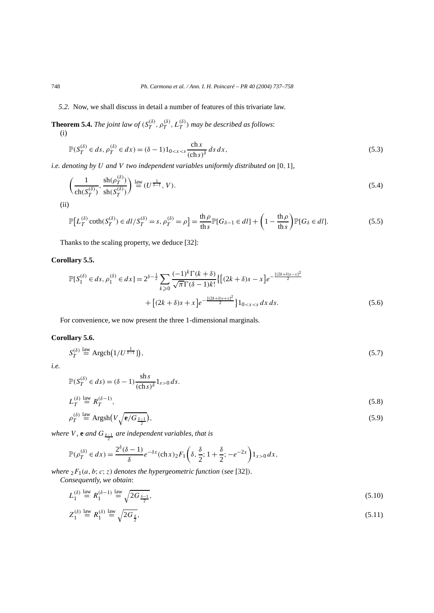*5.2.* Now, we shall discuss in detail a number of features of this trivariate law.

**Theorem 5.4.** *The joint law of*  $(S_T^{(\delta)}, \rho_T^{(\delta)}, L_T^{(\delta)})$  *may be described as follows:* (i)

$$
\mathbb{P}(S_T^{(\delta)} \in ds, \rho_T^{(\delta)} \in dx) = (\delta - 1)1_{0 < x < s} \frac{\operatorname{ch} x}{(\operatorname{ch} s)^{\delta}} ds \, dx,\tag{5.3}
$$

*i.e. denoting by U and V two independent variables uniformly distributed on* [0*,* 1]*,*

$$
\left(\frac{1}{\mathrm{ch}(S_T^{(\delta)})}, \frac{\mathrm{sh}(\rho_T^{(\delta)})}{\mathrm{sh}(S_T^{(\delta)})}\right) \stackrel{\text{law}}{=} (U^{\frac{1}{\delta - 1}}, V). \tag{5.4}
$$

$$
(ii)
$$

$$
\mathbb{P}\big[L_T^{(\delta)}\coth(S_T^{(\delta)}) \in dl / S_T^{(\delta)} = s, \rho_T^{(\delta)} = \rho\big] = \frac{\text{th}\,\rho}{\text{th}\,s} \mathbb{P}\big[G_{\delta-1} \in dl\big] + \left(1 - \frac{\text{th}\,\rho}{\text{th}\,s}\right) \mathbb{P}\big[G_{\delta} \in dl\big].\tag{5.5}
$$

Thanks to the scaling property, we deduce [32]:

## **Corollary 5.5.**

$$
\mathbb{P}[S_1^{(\delta)} \in ds, \rho_1^{(\delta)} \in dx] = 2^{\delta - \frac{1}{2}} \sum_{k \ge 0} \frac{(-1)^k \Gamma(k + \delta)}{\sqrt{\pi} \Gamma(\delta - 1)k!} \{ [(2k + \delta)s - x] e^{-\frac{[(2k + \delta)s - x]^2}{2}} + [(2k + \delta)s + x] e^{-\frac{[(2k + \delta)s + x]^2}{2}} \} 1_{0 < x < s} dx ds. \tag{5.6}
$$

For convenience, we now present the three 1-dimensional marginals.

## **Corollary 5.6.**

$$
S_T^{(\delta)} \stackrel{\text{law}}{=} \text{Argch}\big(1/U^{\frac{1}{\delta - 1}}\big),\tag{5.7}
$$

*i.e.*

$$
\mathbb{P}(S_T^{(\delta)} \in ds) = (\delta - 1) \frac{\sin s}{(\cosh s)^{\delta}} 1_{s > 0} ds.
$$
  

$$
L_T^{(\delta)} \stackrel{\text{law}}{=} R_T^{(\delta - 1)},
$$
 (5.8)

$$
\rho_T^{(\delta)} \stackrel{\text{law}}{=} \text{Argsh}\big(V\sqrt{\mathbf{e}/G_{\frac{\delta-1}{2}}}\big),\tag{5.9}
$$

*where V*, **e** *and G*<sub>*§*−1</sub> are independent variables, that is

$$
\mathbb{P}(\rho_T^{(\delta)} \in dx) = \frac{2^{\delta}(\delta - 1)}{\delta} e^{-\delta x} (\operatorname{ch} x)_2 F_1\left(\delta, \frac{\delta}{2}; 1 + \frac{\delta}{2}; -e^{-2x}\right) 1_{x > 0} dx,
$$

*where*  $_2F_1(a, b; c; z)$  *denotes the hypergeometric function* (*see* [32])*.* 

*Consequently, we obtain*:

$$
L_1^{(\delta)} \stackrel{\text{law}}{=} R_1^{(\delta - 1)} \stackrel{\text{law}}{=} \sqrt{2G_{\frac{\delta - 1}{2}}},\tag{5.10}
$$

$$
Z_1^{(\delta)} \stackrel{\text{law}}{=} R_1^{(\delta)} \stackrel{\text{law}}{=} \sqrt{2G_{\frac{\delta}{2}}},\tag{5.11}
$$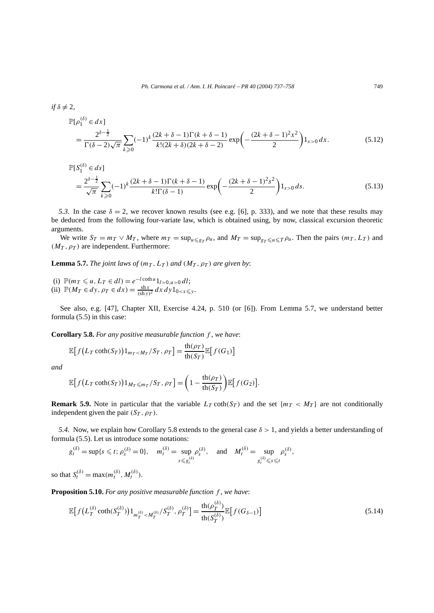$if \delta \neq 2,$ 

$$
\mathbb{P}[\rho_1^{(\delta)} \in dx] = \frac{2^{\delta - \frac{1}{2}}}{\Gamma(\delta - 2)\sqrt{\pi}} \sum_{k \ge 0} (-1)^k \frac{(2k + \delta - 1)\Gamma(k + \delta - 1)}{k!(2k + \delta)(2k + \delta - 2)} \exp\left(-\frac{(2k + \delta - 1)^2 x^2}{2}\right) 1_{x > 0} dx.
$$
 (5.12)

$$
\mathbb{P}[S_1^{(\delta)} \in ds] = \frac{2^{\delta - \frac{1}{2}}}{\sqrt{\pi}} \sum_{k \ge 0} (-1)^k \frac{(2k + \delta - 1)\Gamma(k + \delta - 1)}{k!\Gamma(\delta - 1)} \exp\left(-\frac{(2k + \delta - 1)^2 s^2}{2}\right) 1_{s > 0} ds.
$$
 (5.13)

*5.3.* In the case  $\delta = 2$ , we recover known results (see e.g. [6], p. 333), and we note that these results may be deduced from the following four-variate law, which is obtained using, by now, classical excursion theoretic arguments.

We write  $S_T = m_T \vee M_T$ , where  $m_T = \sup_{u \leq g_T} \rho_u$ , and  $M_T = \sup_{g_T \leq u \leq T} \rho_u$ . Then the pairs  $(m_T, L_T)$  and  $(M_T, \rho_T)$  are independent. Furthermore:

**Lemma 5.7.** *The joint laws of*  $(m_T, L_T)$  *and*  $(M_T, \rho_T)$  *are given by:* 

(i)  $\mathbb{P}(m_T \leq u, L_T \in dl) = e^{-l \coth u} 1_{l>0, u>0} dl;$ 

(ii)  $\mathbb{P}(M_T \in dy, \rho_T \in dx) = \frac{\sin x}{(\sin y)^2} dx dy 1_{0 < x \leq y}$ .

See also, e.g. [47], Chapter XII, Exercise 4.24, p. 510 (or [6]). From Lemma 5.7, we understand better formula (5.5) in this case:

**Corollary 5.8.** *For any positive measurable function f , we have*:

$$
\mathbb{E}\big[f\big(L_T\coth(S_T)\big)1_{m_T
$$

*and*

$$
\mathbb{E}\big[f\big(L_T\coth(S_T)\big)1_{M_T\leqslant m_T}/S_T,\rho_T\big]=\bigg(1-\frac{\operatorname{th}(\rho_T)}{\operatorname{th}(S_T)}\bigg)\mathbb{E}\big[f(G_2)\big].
$$

**Remark 5.9.** Note in particular that the variable  $L_T \coth(S_T)$  and the set  $\{m_T < M_T\}$  are not conditionally independent given the pair  $(S_T, \rho_T)$ .

*5.4.* Now, we explain how Corollary 5.8 extends to the general case *δ >* 1, and yields a better understanding of formula (5.5). Let us introduce some notations:

 $g_t^{(\delta)} = \sup\{s \le t; \rho_s^{(\delta)} = 0\}, \quad m_t^{(\delta)} = \sup$  $s \leqslant g_t^{(\delta)}$  $\rho_s^{(\delta)}$ , and  $M_t^{(\delta)} = \sup$  $g_t^{(\delta)} \leqslant s \leqslant t$ *ρ(δ) <sup>s</sup> ,*

so that  $S_t^{(\delta)} = \max(m_t^{(\delta)}, M_t^{(\delta)})$ .

**Proposition 5.10.** *For any positive measurable function f , we have*:

$$
\mathbb{E}\Big[f\big(L_T^{(\delta)}\coth(S_T^{(\delta)})\big)1_{m_T^{(\delta)} < M_T^{(\delta)}}/S_T^{(\delta)}, \rho_T^{(\delta)}\Big] = \frac{\text{th}(\rho_T^{(\delta)})}{\text{th}(S_T^{(\delta)})}\mathbb{E}\Big[f(G_{\delta-1})\Big] \tag{5.14}
$$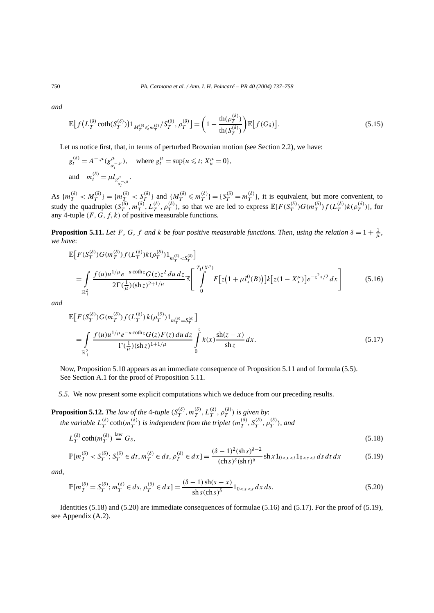*and*

$$
\mathbb{E}\Big[f\big(L_T^{(\delta)}\coth(S_T^{(\delta)})\big)1_{M_T^{(\delta)}\leq m_T^{(\delta)}}/S_T^{(\delta)},\rho_T^{(\delta)}\Big] = \bigg(1 - \frac{\operatorname{th}(\rho_T^{(\delta)})}{\operatorname{th}(S_T^{(\delta)})}\bigg)\mathbb{E}\Big[f(G_\delta)\Big].\tag{5.15}
$$

Let us notice first, that, in terms of perturbed Brownian motion (see Section 2.2), we have:

$$
g_t^{(\delta)} = A^{-,\mu} (g_{\alpha_t^{-,\mu}}^{\mu}), \quad \text{where } g_t^{\mu} = \sup \{ u \le t; X_u^{\mu} = 0 \},
$$
  
and 
$$
m_t^{(\delta)} = \mu l_{g_{\alpha_t^{-,\mu}}}^{\mu}.
$$

As  $\{m_T^{(\delta)} < M_T^{(\delta)}\} = \{m_T^{(\delta)} < S_T^{(\delta)}\}\$ and  $\{M_T^{(\delta)} \leq m_T^{(\delta)}\} = \{S_T^{(\delta)} = m_T^{(\delta)}\}\$ , it is equivalent, but more convenient, to study the quadruplet  $(S_T^{(\delta)}, m_T^{(\delta)}, L_T^{(\delta)}, \rho_T^{(\delta)})$ , so that we are led to express  $\mathbb{E}[F(S_T^{(\delta)})G(m_T^{(\delta)})f(L_T^{(\delta)})k(\rho_T^{(\delta)})]$ , for any 4-tuple *(F, G, f, k)* of positive measurable functions.

**Proposition 5.11.** Let F, G, f and k be four positive measurable functions. Then, using the relation  $\delta = 1 + \frac{1}{\mu}$ , *we have*:

$$
\mathbb{E}\Big[F(S_T^{(\delta)})G(m_T^{(\delta)})f(L_T^{(\delta)})k(\rho_T^{(\delta)})1_{m_T^{(\delta)}< S_T^{(\delta)}}\Big] \\
= \int_{\mathbb{R}_+^2} \frac{f(u)u^{1/\mu}e^{-u\coth z}G(z)z^2 du dz}{2\Gamma(\frac{1}{\mu})(\text{sh }z)^{2+1/\mu}} \mathbb{E}\Bigg[\int_0^{T_1(X^\mu)} F\big[z(1+\mu l_x^0(B))\big]k\big[z(1-X_x^\mu)\big]e^{-z^2x/2}dx\Bigg] \tag{5.16}
$$

*and*

$$
\mathbb{E}\Big[F(S_T^{(\delta)})G(m_T^{(\delta)})f(L_T^{(\delta)})k(\rho_T^{(\delta)})1_{m_T^{(\delta)}=S_T^{(\delta)}}\Big]
$$
\n
$$
=\int_{\mathbb{R}_+^2} \frac{f(u)u^{1/\mu}e^{-u\coth z}G(z)F(z)du dz}{\Gamma(\frac{1}{\mu})(\sh z)^{1+1/\mu}} \int_0^z k(x)\frac{\sh(z-x)}{\sh z}dx.
$$
\n(5.17)

Now, Proposition 5.10 appears as an immediate consequence of Proposition 5.11 and of formula (5.5). See Section A.1 for the proof of Proposition 5.11.

*5.5.* We now present some explicit computations which we deduce from our preceding results.

**Proposition 5.12.** *The law of the 4-tuple*  $(S_T^{(\delta)}, m_T^{(\delta)}, L_T^{(\delta)}, \rho_T^{(\delta)})$  *is given by:* the variable  $L_T^{(\delta)}\coth(m_T^{(\delta)})$  is independent from the triplet  $(m_T^{(\delta)},S_T^{(\delta)},\rho_T^{(\delta)}),$  and

$$
L_T^{(\delta)} \coth(m_T^{(\delta)}) \stackrel{\text{law}}{=} G_\delta,
$$
\n(5.18)

$$
\mathbb{P}[m_T^{(\delta)} < S_T^{(\delta)}; S_T^{(\delta)} \in dt, m_T^{(\delta)} \in ds, \rho_T^{(\delta)} \in dx] = \frac{(\delta - 1)^2 (\sin s)^{\delta - 2}}{(\cosh s)^{\delta} (\sin t)^{\delta}} \sin x \, 1_{0 < x < t} \, 1_{0 < s < t} \, ds \, dt \, dx \tag{5.19}
$$

*and,*

$$
\mathbb{P}[m_T^{(\delta)} = S_T^{(\delta)}; m_T^{(\delta)} \in ds, \rho_T^{(\delta)} \in dx] = \frac{(\delta - 1)\operatorname{sh}(s - x)}{\operatorname{sh}(s)\delta} 1_{0 < x < s} \, dx \, ds. \tag{5.20}
$$

Identities (5.18) and (5.20) are immediate consequences of formulae (5.16) and (5.17). For the proof of (5.19), see Appendix (A.2).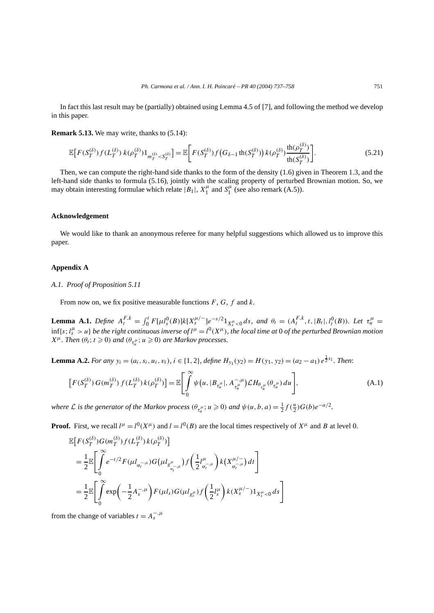In fact this last result may be (partially) obtained using Lemma 4.5 of [7], and following the method we develop in this paper.

**Remark 5.13.** We may write, thanks to (5.14):

$$
\mathbb{E}\Big[F(S_T^{(\delta)})f(L_T^{(\delta)})k(\rho_T^{(\delta)})1_{m_T^{(\delta)} < S_T^{(\delta)}}\Big] = \mathbb{E}\Big[F(S_T^{(\delta)})f\big(G_{\delta-1}\,\text{th}(S_T^{(\delta)})\big)k(\rho_T^{(\delta)})\frac{\text{th}(\rho_T^{(\delta)})}{\text{th}(S_T^{(\delta)})}\Big].\tag{5.21}
$$

th*(ρ(δ)*

Then, we can compute the right-hand side thanks to the form of the density (1.6) given in Theorem 1.3, and the left-hand side thanks to formula (5.16), jointly with the scaling property of perturbed Brownian motion. So, we may obtain interesting formulae which relate  $|B_1|$ ,  $X_1^{\mu}$  and  $S_1^{\mu}$  (see also remark (A.5)).

#### **Acknowledgement**

We would like to thank an anonymous referee for many helpful suggestions which allowed us to improve this paper.

## **Appendix A**

*A.1. Proof of Proposition 5.11*

From now on, we fix positive measurable functions *F*, *G*, *f* and *k*.

**Lemma A.1.** Define  $A_t^{F,k} = \int_0^t F[\mu I_s^0(B)]k[X_s^{\mu/-}]e^{-s/2}1_{X_s^{\mu}<0}ds$ , and  $\theta_t = (A_t^{F,k}, t, |B_t|, l_t^0(B))$ . Let  $\tau_{\mu}^{\mu} =$  $\inf\{s; l_s^{\mu} > u\}$  be the right continuous inverse of  $l^{\mu} = l^0(X^{\mu})$ , the local time at 0 of the perturbed Brownian motion *X*<sup>*μ*</sup>. Then  $(\theta_t; t \ge 0)$  and  $(\theta_{\tau_u^{\mu}}; u \ge 0)$  are Markov processes.

**Lemma A.2.** For any  $y_i = (a_i, s_i, u_i, v_i)$ ,  $i \in \{1, 2\}$ , define  $H_{y_1}(y_2) = H(y_1, y_2) = (a_2 - a_1) e^{\frac{1}{2}s_1}$ . Then:

$$
\[F(S_T^{(\delta)}) G(m_T^{(\delta)}) f(L_T^{(\delta)}) k(\rho_T^{(\delta)})\] = \mathbb{E} \Bigg[ \int_0^\infty \psi\big(u, |B_{\tau_u^{\mu}}|, A_{\tau_u^{\mu}}^{-,\mu}\big) \mathcal{L} H_{\theta_{\tau_u^{\mu}}}(\theta_{\tau_u^{\mu}}) du \Bigg],\tag{A.1}
$$

*where*  $\mathcal L$  *is the generator of the Markov process*  $(\theta_{\tau_u^{\mu}}; u \geqslant 0)$  *and*  $\psi(u, b, a) = \frac{1}{2} f(\frac{u}{2}) G(b) e^{-a/2}$ .

**Proof.** First, we recall  $l^{\mu} = l^0(X^{\mu})$  and  $l = l^0(B)$  are the local times respectively of  $X^{\mu}$  and *B* at level 0.

$$
\mathbb{E}\Big[F(S_T^{(\delta)})G(m_T^{(\delta)})f(L_T^{(\delta)})k(\rho_T^{(\delta)})\Big] \n= \frac{1}{2}\mathbb{E}\Bigg[\int_0^\infty e^{-t/2}F(\mu l_{\alpha_t^{-,\mu}})G(\mu l_{g_{\alpha_t^{-,\mu}}^{\mu}})f\left(\frac{1}{2}l_{\alpha_t^{-,\mu}}^{\mu}\right)k(X_{\alpha_t^{-,\mu}}^{\mu/-})dt\Bigg] \n= \frac{1}{2}\mathbb{E}\Bigg[\int_0^\infty \exp\bigg(-\frac{1}{2}A_s^{-,\mu}\bigg)F(\mu l_s)G(\mu l_{g_s^{\mu}})f\left(\frac{1}{2}l_s^{\mu}\right)k(X_s^{\mu/-})1_{X_s^{\mu}<0}ds\Bigg]
$$

from the change of variables  $t = A_s^{-, \mu}$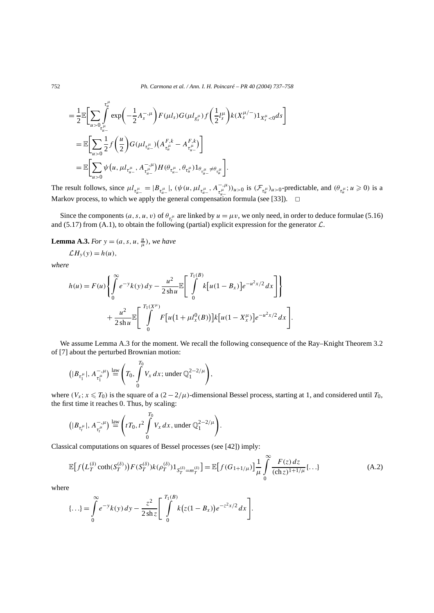752 *Ph. Carmona et al. / Ann. I. H. Poincaré – PR 40 (2004) 737–758*

$$
= \frac{1}{2} \mathbb{E} \bigg[ \sum_{u>0} \int_{t_{u-}^{\mu}}^{t_u^{\mu}} \exp \bigg( -\frac{1}{2} A_s^{-,\mu} \bigg) F(\mu l_s) G(\mu l_{g_s^{\mu}}) f\bigg( \frac{1}{2} l_s^{\mu} \bigg) k(X_s^{\mu/-}) 1_{X_s^{\mu} < 0} ds \bigg]
$$
  
\n
$$
= \mathbb{E} \bigg[ \sum_{u>0} \frac{1}{2} f\bigg( \frac{u}{2} \bigg) G(\mu l_{\tau_{u-}^{\mu}}) \bigg( A_{\tau_u^{\mu}}^{F,k} - A_{\tau_{u-}^{\mu}}^{F,k} \bigg) \bigg]
$$
  
\n
$$
= \mathbb{E} \bigg[ \sum_{u>0} \psi(u, \mu l_{\tau_{u-}^{\mu}}, A_{\tau_{u-}^{\mu}}^{-,\mu}) H(\theta_{\tau_{u-}^{\mu}}, \theta_{\tau_{u}^{\mu}}) 1_{\theta_{\tau_{u-}^{\mu}} \neq \theta_{\tau_{u}^{\mu}}} \bigg].
$$

The result follows, since  $\mu l_{\tau_{u-}^{\mu}} = |B_{\tau_{u-}^{\mu}}|$ ,  $(\psi(u, \mu l_{\tau_{u-}^{\mu}}, A_{\tau_{u-}^{\mu}}^{-,\mu}))_{u>0}$  is  $(\mathcal{F}_{\tau_{u}}^{\mu})_{u>0}$ -predictable, and  $(\theta_{\tau_{u}}^{\mu}; u \ge 0)$  is a Markov process, to which we apply the general compensation formula (see [33]).  $\Box$ 

Since the components  $(a, s, u, v)$  of  $\theta_{\tau_i^{\mu}}$  are linked by  $u = \mu v$ , we only need, in order to deduce formulae (5.16) and (5.17) from (A.1), to obtain the following (partial) explicit expression for the generator  $\mathcal{L}$ .

**Lemma A.3.** *For*  $y = (a, s, u, \frac{u}{\mu})$ *, we have* 

$$
\mathcal{L}H_{y}(y) = h(u),
$$

*where*

$$
h(u) = F(u) \left\{ \int_0^{\infty} e^{-y} k(y) dy - \frac{u^2}{2 \sin u} \mathbb{E} \left[ \int_0^{T_1(B)} k[u(1 - B_x)] e^{-u^2 x/2} dx \right] \right\} + \frac{u^2}{2 \sin u} \mathbb{E} \left[ \int_0^{T_1(X^{\mu})} F[u(1 + \mu I_x^0(B))] k[u(1 - X_x^{\mu})] e^{-u^2 x/2} dx \right].
$$

We assume Lemma A.3 for the moment. We recall the following consequence of the Ray–Knight Theorem 3.2 of [7] about the perturbed Brownian motion:

$$
\left(|B_{\tau_1^{\mu}}|, A_{\tau_1^{\mu}}^{-,\mu}\right) \stackrel{\text{law}}{=} \left(T_0, \int\limits_0^{T_0} V_x \, dx \, ; \, \text{under} \, \mathbb{Q}_1^{2-2/\mu}\right),
$$

where  $(V_x; x \le T_0)$  is the square of a  $(2 - 2/\mu)$ -dimensional Bessel process, starting at 1, and considered until  $T_0$ , the first time it reaches 0. Thus, by scaling:

*.*

$$
(|B_{\tau_t^{\mu}}|, A_{\tau_t^{\mu}}^{-,\mu}) \stackrel{\text{law}}{=} \left(tT_0, t^2 \int\limits_0^{T_0} V_x \, dx, \text{ under } \mathbb{Q}_1^{2-2/\mu}\right)
$$

Classical computations on squares of Bessel processes (see [42]) imply:

$$
\mathbb{E}\Big[f\big(L_T^{(\delta)}\coth(S_T^{(\delta)})\big)F(S_T^{(\delta)})k(\rho_T^{(\delta)})1_{S_T^{(\delta)}=m_T^{(\delta)}}\Big] = \mathbb{E}\Big[f(G_{1+1/\mu})\Big]\frac{1}{\mu}\int\limits_0^\infty\frac{F(z)\,dz}{(\ch z)^{1+1/\mu}}\{\ldots\}
$$
(A.2)

where

$$
\{\ldots\} = \int\limits_{0}^{\infty} e^{-y} k(y) \, dy - \frac{z^2}{2 \operatorname{sh} z} \left[ \int\limits_{0}^{T_1(B)} k(z(1-B_x)) e^{-z^2 x/2} \, dx \right].
$$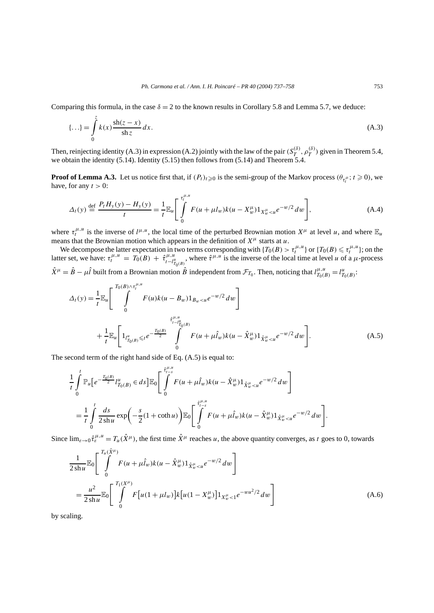Comparing this formula, in the case  $\delta = 2$  to the known results in Corollary 5.8 and Lemma 5.7, we deduce:

$$
\{\ldots\} = \int_{0}^{z} k(x) \frac{\sin(z - x)}{\sin z} dx.
$$
 (A.3)

Then, reinjecting identity (A.3) in expression (A.2) jointly with the law of the pair  $(S_T^{(\delta)}, \rho_T^{(\delta)})$  given in Theorem 5.4, we obtain the identity (5.14). Identity (5.15) then follows from (5.14) and Theorem 5.4.

**Proof of Lemma A.3.** Let us notice first that, if  $(P_t)_{t\geqslant 0}$  is the semi-group of the Markov process  $(\theta_{\tau_t^{\mu}}; t \geqslant 0)$ , we have, for any  $t > 0$ :

$$
\Delta_t(y) \stackrel{\text{def}}{=} \frac{P_t H_y(y) - H_y(y)}{t} = \frac{1}{t} \mathbb{E}_u \left[ \int_0^{\tau_t^{\mu,u}} F(u + \mu l_w) k(u - X_w^{\mu}) 1_{X_w^{\mu} < u} e^{-w/2} \, dw \right],\tag{A.4}
$$

where  $\tau_t^{\mu,\mu}$  is the inverse of  $l^{\mu,\mu}$ , the local time of the perturbed Brownian motion  $X^{\mu}$  at level *u*, and where  $\mathbb{E}_u$ means that the Brownian motion which appears in the definition of  $X^{\mu}$  starts at *u*.

We decompose the latter expectation in two terms corresponding with  ${T_0(B) > \tau_t^{\mu,u}}$  or  ${T_0(B) \leq \tau_t^{\mu,u}}$ ; on the latter set, we have:  $\tau_l^{\mu,\mu} = T_0(B) + \hat{\tau}_{l-l_{T_0(B)}^{\mu,\mu}}^{\mu,\mu}$ , where  $\hat{\tau}^{\mu,\mu}$  is the inverse of the local time at level u of a  $\mu$ -process  $\hat{X}^{\mu} = \hat{B} - \mu \hat{l}$  built from a Brownian motion  $\hat{B}$  independent from  $\mathcal{F}_{T_0}$ . Then, noticing that  $l_{T_0(B)}^{\mu,\mu} = l_{T_0(B)}^{\mu}$ .

$$
\Delta_{t}(y) = \frac{1}{t} \mathbb{E}_{u} \left[ \int_{0}^{T_{0}(B) \wedge \tau_{t}^{\mu, u}} F(u)k(u - B_{w}) 1_{B_{w} < u} e^{-w/2} dw \right]
$$
\n
$$
+ \frac{1}{t} \mathbb{E}_{u} \left[ 1_{l_{T_{0}(B)}^{u}} \leq t e^{-\frac{T_{0}(B)}{2}} \int_{0}^{\hat{\tau}_{t-l_{T_{0}}^{u}}} F(u + \mu \hat{l}_{w}) k(u - \hat{X}_{w}^{\mu}) 1_{\hat{X}_{w}^{\mu} < u} e^{-w/2} dw \right]. \tag{A.5}
$$

The second term of the right hand side of Eq. (A.5) is equal to:

$$
\frac{1}{t} \int_{0}^{t} \mathbb{P}_{u} \Big[ e^{-\frac{T_{0}(B)}{2}} l_{T_{0}(B)}^{u} \in ds \Big] \mathbb{E}_{0} \Bigg[ \int_{0}^{\hat{\tau}_{t-s}^{\mu,u}} F(u + \mu \hat{l}_{w}) k(u - \hat{X}_{w}^{\mu}) 1_{\hat{X}_{w}^{\mu} < u} e^{-w/2} dw \Bigg]
$$
\n
$$
= \frac{1}{t} \int_{0}^{t} \frac{ds}{2 \sin u} \exp \Big( -\frac{s}{2} (1 + \coth u) \Big) \mathbb{E}_{0} \Bigg[ \int_{0}^{\hat{\tau}_{t-s}^{\mu,u}} F(u + \mu \hat{l}_{w}) k(u - \hat{X}_{w}^{\mu}) 1_{\hat{X}_{w}^{\mu} < u} e^{-w/2} dw \Bigg].
$$

Since  $\lim_{\varepsilon\to 0} \hat{\tau}^{\mu,\mu}_{\varepsilon} = T_u(\hat{X}^{\mu})$ , the first time  $\hat{X}^{\mu}$  reaches *u*, the above quantity converges, as *t* goes to 0, towards

$$
\frac{1}{2\,\mathrm{sh}\,u} \mathbb{E}_{0} \left[ \int_{0}^{T_{u}(\hat{X}^{\mu})} F(u + \mu \hat{l}_{w}) k(u - \hat{X}_{w}^{\mu}) 1_{\hat{X}_{w}^{\mu} < u} e^{-w/2} \, dw \right]
$$
\n
$$
= \frac{u^{2}}{2\,\mathrm{sh}\,u} \mathbb{E}_{0} \left[ \int_{0}^{T_{1}(X^{\mu})} F[u(1 + \mu l_{w})] k[u(1 - X_{w}^{\mu})] 1_{X_{w}^{\mu} < 1} e^{-wu^{2}/2} \, dw \right]
$$
\n(A.6)

by scaling.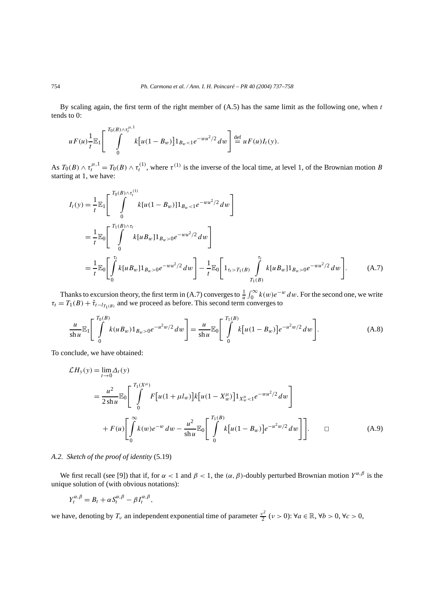By scaling again, the first term of the right member of (A.5) has the same limit as the following one, when *t* tends to 0:

$$
u F(u) \frac{1}{t} \mathbb{E}_1 \left[ \int_0^{T_0(B) \wedge \tau_t^{\mu,1}} k[u(1-B_w)] 1_{B_w < 1} e^{-w u^2/2} dw \right] \stackrel{\text{def}}{=} u F(u) I_t(y).
$$

As  $T_0(B) \wedge \tau_t^{\mu,1} = T_0(B) \wedge \tau_t^{(1)}$ , where  $\tau^{(1)}$  is the inverse of the local time, at level 1, of the Brownian motion B starting at 1, we have:

$$
I_t(y) = \frac{1}{t} \mathbb{E}_1 \left[ \int_0^{T_0(B) \wedge \tau_t^{(1)}} k[u(1 - B_w)] 1_{B_w < 1} e^{-wu^2/2} dw \right]
$$
\n
$$
= \frac{1}{t} \mathbb{E}_0 \left[ \int_0^{T_1(B) \wedge \tau_t} k[uB_w] 1_{B_w > 0} e^{-wu^2/2} dw \right]
$$
\n
$$
= \frac{1}{t} \mathbb{E}_0 \left[ \int_0^{\tau_t} k[uB_w] 1_{B_w > 0} e^{-wu^2/2} dw \right] - \frac{1}{t} \mathbb{E}_0 \left[ 1_{\tau_t > T_1(B)} \int_{T_1(B)}^{\tau_t} k[uB_w] 1_{B_w > 0} e^{-wu^2/2} dw \right]. \tag{A.7}
$$

Thanks to excursion theory, the first term in (A.7) converges to  $\frac{1}{u} \int_0^\infty k(w) e^{-w} dw$ . For the second one, we write  $\tau_t = T_1(B) + \hat{\tau}_{t-l_{T_1(B)}}$  and we proceed as before. This second term converges to

$$
\frac{u}{\sin u} \mathbb{E}_1 \left[ \int_0^{T_0(B)} k (u B_w) 1_{B_w > 0} e^{-u^2 w/2} dw \right] = \frac{u}{\sin u} \mathbb{E}_0 \left[ \int_0^{T_1(B)} k [u (1 - B_w)] e^{-u^2 w/2} dw \right].
$$
\n(A.8)

To conclude, we have obtained:

$$
\mathcal{L}H_{y}(y) = \lim_{t \to 0} \Delta_{t}(y)
$$
\n
$$
= \frac{u^{2}}{2 \sin u} \mathbb{E}_{0} \left[ \int_{0}^{T_{1}(X^{\mu})} F[u(1 + \mu l_{w})] k[u(1 - X_{w}^{\mu})] 1_{X_{w}^{\mu} < 1} e^{-wu^{2}/2} dw \right]
$$
\n
$$
+ F(u) \left[ \int_{0}^{\infty} k(w) e^{-w} dw - \frac{u^{2}}{\sin u} \mathbb{E}_{0} \left[ \int_{0}^{T_{1}(B)} k[u(1 - B_{w})] e^{-u^{2}w/2} dw \right] \right]. \qquad (A.9)
$$

## *A.2. Sketch of the proof of identity* (5.19)

We first recall (see [9]) that if, for  $\alpha < 1$  and  $\beta < 1$ , the  $(\alpha, \beta)$ -doubly perturbed Brownian motion  $Y^{\alpha,\beta}$  is the unique solution of (with obvious notations):

$$
Y_t^{\alpha,\beta} = B_t + \alpha S_t^{\alpha,\beta} - \beta I_t^{\alpha,\beta},
$$

we have, denoting by  $T_v$  an independent exponential time of parameter  $\frac{v^2}{2}$  ( $v > 0$ ):  $\forall a \in \mathbb{R}$ ,  $\forall b > 0$ ,  $\forall c > 0$ ,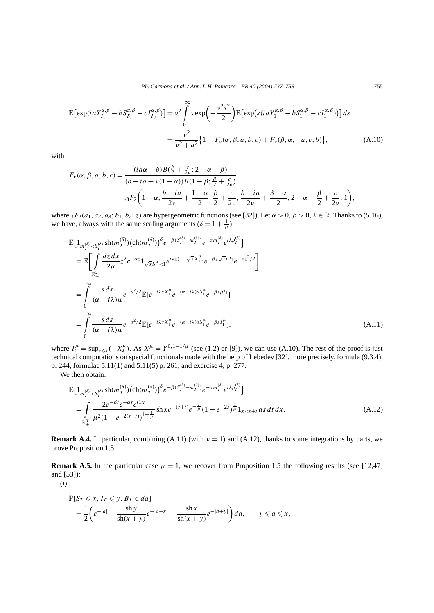$$
\mathbb{E}[\exp(iaY_{T_v}^{\alpha,\beta} - bS_{T_v}^{\alpha,\beta} - cI_{T_v}^{\alpha,\beta})] = \nu^2 \int_0^{\infty} s \exp\left(-\frac{\nu^2 s^2}{2}\right) \mathbb{E}[\exp(s(iaY_1^{\alpha,\beta} - bS_1^{\alpha,\beta} - cI_1^{\alpha,\beta}))] ds
$$
  

$$
= \frac{\nu^2}{\nu^2 + a^2} \{1 + F_v(\alpha,\beta,a,b,c) + F_v(\beta,\alpha,-a,c,b)\}, \tag{A.10}
$$

with

$$
F_{\nu}(\alpha, \beta, a, b, c) = \frac{(ia\alpha - b)B(\frac{\beta}{2} + \frac{c}{2\nu}; 2 - \alpha - \beta)}{(b - ia + \nu(1 - \alpha))B(1 - \beta; \frac{\beta}{2} + \frac{c}{2\nu})}
$$
  
.
$$
{}_{3}F_{2}\bigg(1 - \alpha, \frac{b - ia}{2\nu} + \frac{1 - \alpha}{2}, \frac{\beta}{2} + \frac{c}{2\nu}; \frac{b - ia}{2\nu} + \frac{3 - \alpha}{2}, 2 - \alpha - \frac{\beta}{2} + \frac{c}{2\nu}; 1\bigg),
$$

where  $3F_2(a_1, a_2, a_3; b_1, b_2; z)$  are hypergeometric functions (see [32]). Let  $\alpha > 0$ ,  $\beta > 0$ ,  $\lambda \in \mathbb{R}$ . Thanks to (5.16), we have, always with the same scaling arguments ( $\delta = 1 + \frac{1}{\mu}$ ):

$$
\mathbb{E}\left[\mathbf{1}_{m_{T}^{(\delta)} < S_{T}^{(\delta)}}\sin(m_{T}^{(\delta)})\left(\ch(m_{T}^{(\delta)})\right)^{\delta}e^{-\beta(S_{T}^{(\delta)}-m_{T}^{(\delta)})}e^{-\alpha m_{T}^{(\delta)}}e^{i\lambda\rho_{T}^{(\delta)}}\right]
$$
\n
$$
= \mathbb{E}\left[\int\limits_{\mathbb{R}_{+}^{2}}\frac{dz\,dx}{2\mu}z^{2}e^{-\alpha z}\mathbf{1}_{\sqrt{x}S_{1}^{\mu}<1}e^{i\lambda z(1-\sqrt{x}X_{1}^{\mu})}e^{-\beta z\sqrt{x}\mu l_{1}}e^{-xz^{2}/2}\right]
$$
\n
$$
= \int\limits_{0}^{\infty}\frac{s\,ds}{(\alpha-i\lambda)\mu}e^{-s^{2}/2}\mathbb{E}[e^{-i\lambda sX_{1}^{\mu}}e^{-(\alpha-i\lambda)sS_{1}^{\mu}}e^{-\beta s\mu l_{1}}]
$$
\n
$$
= \int\limits_{0}^{\infty}\frac{s\,ds}{(\alpha-i\lambda)\mu}e^{-s^{2}/2}\mathbb{E}[e^{-i\lambda sX_{1}^{\mu}}e^{-(\alpha-i\lambda)sS_{1}^{\mu}}e^{-\beta sI_{1}^{\mu}}], \tag{A.11}
$$

where  $I_t^{\mu} = \sup_{s \le t} (-X_s^{\mu})$ . As  $X^{\mu} = Y^{0,1-1/\mu}$  (see (1.2) or [9]), we can use (A.10). The rest of the proof is just technical computations on special functionals made with the help of Lebedev [32], more precisely, formula (9.3.4), p. 244, formulae 5.11(1) and 5.11(5) p. 261, and exercise 4, p. 277.

We then obtain:

$$
\mathbb{E}\Big[\mathbb{1}_{m_T^{(\delta)} < S_T^{(\delta)}} \operatorname{sh}(m_T^{(\delta)}) \big(\operatorname{ch}(m_T^{(\delta)})\big)^{\delta} e^{-\beta(S_T^{(\delta)} - m_T^{(\delta)})} e^{-\alpha m_T^{(\delta)}} e^{i\lambda \rho_T^{(\delta)}}\Big] \n= \int_{\mathbb{R}_+^3} \frac{2e^{-\beta t} e^{-\alpha s} e^{i\lambda x}}{\mu^2 (1 - e^{-2(s+t)})^{1 + \frac{1}{\mu}}} \operatorname{sh} x e^{-(s+t)} e^{-\frac{t}{\mu}} (1 - e^{-2s})^{\frac{1}{\mu}} \mathbb{1}_{x < s+t} ds dt dx.
$$
\n(A.12)

**Remark A.4.** In particular, combining  $(A.11)$  (with  $\nu = 1$ ) and  $(A.12)$ , thanks to some integrations by parts, we prove Proposition 1.5.

**Remark A.5.** In the particular case  $\mu = 1$ , we recover from Proposition 1.5 the following results (see [12,47] and [53]):

(i)

$$
\mathbb{P}[S_T \leq x, I_T \leq y, B_T \in da]
$$
  
=  $\frac{1}{2} \left( e^{-|a|} - \frac{\operatorname{sh} y}{\operatorname{sh}(x+y)} e^{-|a-x|} - \frac{\operatorname{sh} x}{\operatorname{sh}(x+y)} e^{-|a+y|} \right) da, \quad -y \leq a \leq x,$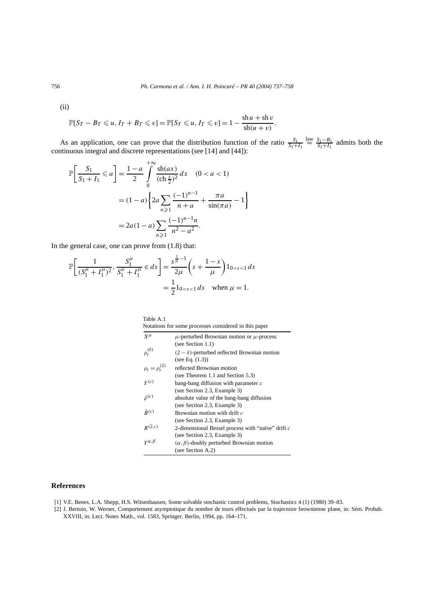(ii)

$$
\mathbb{P}[S_T - B_T \leq u, I_T + B_T \leq v] = \mathbb{P}[S_T \leq u, I_T \leq v] = 1 - \frac{\sin u + \sin v}{\sin(u + v)}.
$$

As an application, one can prove that the distribution function of the ratio  $\frac{S_1}{S_1 + I_1}$ As an application, one can prove that the distribution function of the ratio  $\frac{S_1}{S_1+I_1} \stackrel{\text{law}}{=} \frac{S_1-B_1}{S_1+I_1}$  admits both the continuous integral and discrete representations (see [14] and [44]):

$$
\mathbb{P}\left[\frac{S_1}{S_1 + I_1} \leq a\right] = \frac{1 - a}{2} \int_0^{+\infty} \frac{\operatorname{sh}(ax)}{(\operatorname{ch} \frac{x}{2})^2} dx \quad (0 < a < 1)
$$

$$
= (1 - a) \left\{ 2a \sum_{n \geq 1} \frac{(-1)^{n-1}}{n+a} + \frac{\pi a}{\sin(\pi a)} - 1 \right\}
$$

$$
= 2a(1 - a) \sum_{n \geq 1} \frac{(-1)^{n-1}n}{n^2 - a^2}.
$$

In the general case, one can prove from (1.8) that:

$$
\mathbb{P}\left[\frac{1}{(S_1^{\mu} + I_1^{\mu})^2}, \frac{S_1^{\mu}}{S_1^{\mu} + I_1^{\mu}} \in ds\right] = \frac{s^{\frac{1}{\mu}-1}}{2\mu} \left(s + \frac{1-s}{\mu}\right) 1_{0 < s < 1} \, ds
$$
\n
$$
= \frac{1}{2} 1_{0 < s < 1} \, ds \quad \text{when } \mu = 1.
$$

Table A.1

| Notations for some processes considered in this paper |                                                                            |
|-------------------------------------------------------|----------------------------------------------------------------------------|
| $X^{\mu}$                                             | $\mu$ -perturbed Brownian motion or $\mu$ -process<br>(see Section $1.1$ ) |
| $\rho_t^{(\delta)}$                                   | $(2 - \delta)$ -perturbed reflected Brownian motion<br>(see Eq. $(1.3)$ )  |
| $\rho_t = \rho_t^{(2)}$                               | reflected Brownian motion                                                  |
|                                                       | (see Theorem 1.1 and Section 5.3)                                          |
| $V^{(c)}$                                             | bang-bang diffusion with parameter $c$                                     |
|                                                       | (see Section 2.3, Example 3)                                               |
| $\tilde{\rho}^{(c)}$                                  | absolute value of the bang-bang diffusion                                  |
|                                                       | (see Section 2.3, Example 3)                                               |
| $\hat{R}^{(c)}$                                       | Brownian motion with drift c                                               |
|                                                       | (see Section 2.3, Example 3)                                               |
| $R^{(2,c)}$                                           | 2-dimensional Bessel process with "naïve" drift c                          |
|                                                       | (see Section 2.3, Example 3)                                               |
| $Y^{\alpha,\beta}$                                    | $(\alpha, \beta)$ -doubly perturbed Brownian motion                        |
|                                                       | (see Section A.2)                                                          |

## **References**

- [1] V.E. Benes, L.A. Shepp, H.S. Witsenhausen, Some solvable stochastic control problems, Stochastics 4 (1) (1980) 39–83.
- [2] J. Bertoin, W. Werner, Comportement asymptotique du nombre de tours effectués par la trajectoire brownienne plane, in: Sém. Probab. XXVIII, in: Lect. Notes Math., vol. 1583, Springer, Berlin, 1994, pp. 164–171.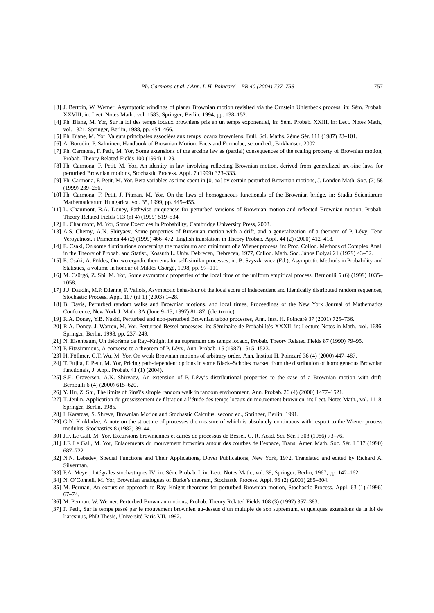- [3] J. Bertoin, W. Werner, Asymptotic windings of planar Brownian motion revisited via the Ornstein Uhlenbeck process, in: Sém. Probab. XXVIII, in: Lect. Notes Math., vol. 1583, Springer, Berlin, 1994, pp. 138–152.
- [4] Ph. Biane, M. Yor, Sur la loi des temps locaux browniens pris en un temps exponentiel, in: Sém. Probab. XXIII, in: Lect. Notes Math., vol. 1321, Springer, Berlin, 1988, pp. 454–466.
- [5] Ph. Biane, M. Yor, Valeurs principales associées aux temps locaux browniens, Bull. Sci. Maths. 2ème Sér. 111 (1987) 23–101.
- [6] A. Borodin, P. Salminen, Handbook of Brownian Motion: Facts and Formulae, second ed., Birkhaüser, 2002.
- [7] Ph. Carmona, F. Petit, M. Yor, Some extensions of the arcsine law as (partial) consequences of the scaling property of Brownian motion, Probab. Theory Related Fields 100 (1994) 1–29.
- [8] Ph. Carmona, F. Petit, M. Yor, An identity in law involving reflecting Brownian motion, derived from generalized arc-sine laws for perturbed Brownian motions, Stochastic Process. Appl. 7 (1999) 323–333.
- [9] Ph. Carmona, F. Petit, M. Yor, Beta variables as time spent in [0*,*∞[ by certain perturbed Brownian motions, J. London Math. Soc. (2) 58 (1999) 239–256.
- [10] Ph. Carmona, F. Petit, J. Pitman, M. Yor, On the laws of homogeneous functionals of the Brownian bridge, in: Studia Scientiarum Mathematicarum Hungarica, vol. 35, 1999, pp. 445–455.
- [11] L. Chaumont, R.A. Doney, Pathwise uniqueness for perturbed versions of Brownian motion and reflected Brownian motion, Probab. Theory Related Fields 113 (nf 4) (1999) 519–534.
- [12] L. Chaumont, M. Yor, Some Exercices in Probability, Cambridge University Press, 2003.
- [13] A.S. Cherny, A.N. Shiryaev, Some properties of Brownian motion with a drift, and a generalization of a theorem of P. Lévy, Teor. Veroyatnost. i Primenen 44 (2) (1999) 466–472. English translation in Theory Probab. Appl. 44 (2) (2000) 412–418.
- [14] E. Csaki, On some distributions concerning the maximum and minimum of a Wiener process, in: Proc. Colloq. Methods of Complex Anal. in the Theory of Probab. and Statist., Kossuth L. Univ. Debrecen, Debrecen, 1977, Colloq. Math. Soc. János Bolyai 21 (1979) 43–52.
- [15] E. Csaki, A. Földes, On two ergodic theorems for self-similar processes, in: B. Szyszkowicz (Ed.), Asymptotic Methods in Probability and Statistics, a volume in honour of Miklós Csörgő, 1998, pp. 97–111.
- [16] M. Csörgő, Z. Shi, M. Yor, Some asymptotic properties of the local time of the uniform empirical process, Bernoulli 5 (6) (1999) 1035– 1058.
- [17] J.J. Daudin, M.P. Etienne, P. Vallois, Asymptotic behaviour of the local score of independent and identically distributed random sequences, Stochastic Process. Appl. 107 (nf 1) (2003) 1–28.
- [18] B. Davis, Perturbed random walks and Brownian motions, and local times, Proceedings of the New York Journal of Mathematics Conference, New York J. Math. 3A (June 9–13, 1997) 81–87, (electronic).
- [19] R.A. Doney, Y.B. Nakhi, Perturbed and non-perturbed Brownian taboo processes, Ann. Inst. H. Poincaré 37 (2001) 725–736.
- [20] R.A. Doney, J. Warren, M. Yor, Perturbed Bessel processes, in: Séminaire de Probabilités XXXII, in: Lecture Notes in Math., vol. 1686, Springer, Berlin, 1998, pp. 237–249.
- [21] N. Eisenbaum, Un théorème de Ray–Knight lié au supremum des temps locaux, Probab. Theory Related Fields 87 (1990) 79–95.
- [22] P. Fitzsimmons, A converse to a theorem of P. Lévy, Ann. Probab. 15 (1987) 1515–1523.
- [23] H. Föllmer, C.T. Wu, M. Yor, On weak Brownian motions of arbitrary order, Ann. Institut H. Poincaré 36 (4) (2000) 447–487.
- [24] T. Fujita, F. Petit, M. Yor, Pricing path-dependent options in some Black–Scholes market, from the distribution of homogeneous Brownian functionals, J. Appl. Probab. 41 (1) (2004).
- [25] S.E. Graversen, A.N. Shiryaev, An extension of P. Lévy's distributional properties to the case of a Brownian motion with drift, Bernoulli 6 (4) (2000) 615–620.
- [26] Y. Hu, Z. Shi, The limits of Sinaï's simple random walk in random environment, Ann. Probab. 26 (4) (2000) 1477–1521.
- [27] T. Jeulin, Application du grossissement de filtration à l'étude des temps locaux du mouvement brownien, in: Lect. Notes Math., vol. 1118, Springer, Berlin, 1985.
- [28] I. Karatzas, S. Shreve, Brownian Motion and Stochastic Calculus, second ed., Springer, Berlin, 1991.
- [29] G.N. Kinkladze, A note on the structure of processes the measure of which is absolutely continuous with respect to the Wiener process modulus, Stochastics 8 (1982) 39–44.
- [30] J.F. Le Gall, M. Yor, Excursions browniennes et carrés de processus de Bessel, C. R. Acad. Sci. Sér. I 303 (1986) 73–76.
- [31] J.F. Le Gall, M. Yor, Enlacements du mouvement brownien autour des courbes de l'espace, Trans. Amer. Math. Soc. Sér. I 317 (1990) 687–722.
- [32] N.N. Lebedev, Special Functions and Their Applications, Dover Publications, New York, 1972, Translated and edited by Richard A. Silverman.
- [33] P.A. Meyer, Intégrales stochastiques IV, in: Sém. Probab. I, in: Lect. Notes Math., vol. 39, Springer, Berlin, 1967, pp. 142–162.
- [34] N. O'Connell, M. Yor, Brownian analogues of Burke's theorem, Stochastic Process. Appl. 96 (2) (2001) 285–304.
- [35] M. Perman, An excursion approach to Ray–Knight theorems for perturbed Brownian motion, Stochastic Process. Appl. 63 (1) (1996) 67–74.
- [36] M. Perman, W. Werner, Perturbed Brownian motions, Probab. Theory Related Fields 108 (3) (1997) 357–383.
- [37] F. Petit, Sur le temps passé par le mouvement brownien au-dessus d'un multiple de son supremum, et quelques extensions de la loi de l'arcsinus, PhD Thesis, Université Paris VII, 1992.